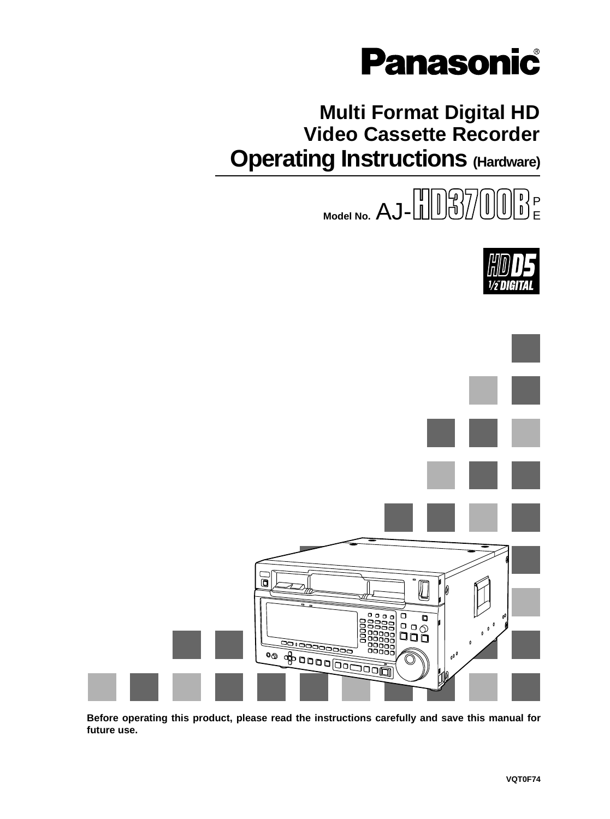

# **Multi Format Digital HD Video Cassette Recorder Operating Instructions (Hardware)**







**Before operating this product, please read the instructions carefully and save this manual for future use.**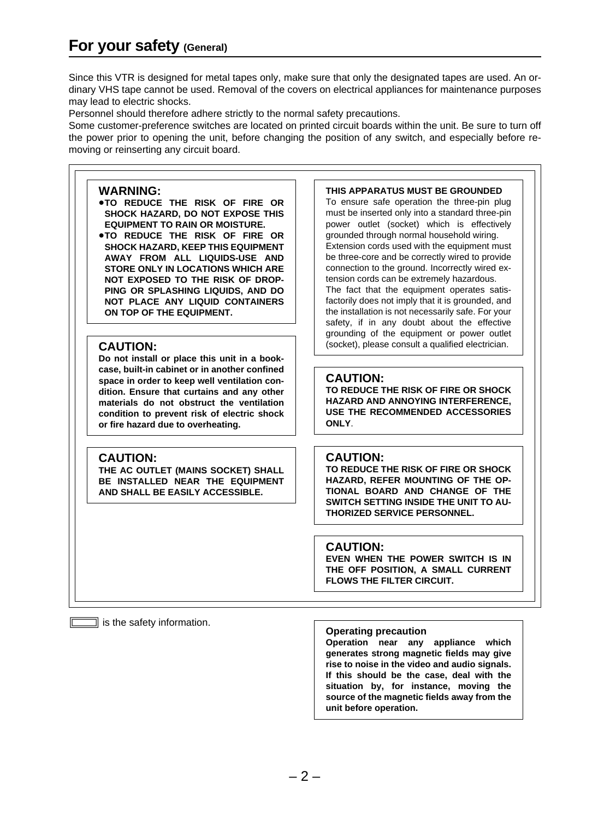Since this VTR is designed for metal tapes only, make sure that only the designated tapes are used. An ordinary VHS tape cannot be used. Removal of the covers on electrical appliances for maintenance purposes may lead to electric shocks.

Personnel should therefore adhere strictly to the normal safety precautions.

Some customer-preference switches are located on printed circuit boards within the unit. Be sure to turn off the power prior to opening the unit, before changing the position of any switch, and especially before removing or reinserting any circuit board.

## **WARNING:**

- ≥**TO REDUCE THE RISK OF FIRE OR SHOCK HAZARD, DO NOT EXPOSE THIS EQUIPMENT TO RAIN OR MOISTURE.**
- ≥**TO REDUCE THE RISK OF FIRE OR SHOCK HAZARD, KEEP THIS EQUIPMENT AWAY FROM ALL LIQUIDS-USE AND STORE ONLY IN LOCATIONS WHICH ARE NOT EXPOSED TO THE RISK OF DROP-PING OR SPLASHING LIQUIDS, AND DO NOT PLACE ANY LIQUID CONTAINERS ON TOP OF THE EQUIPMENT.**

### **CAUTION:**

**Do not install or place this unit in a bookcase, built-in cabinet or in another confined space in order to keep well ventilation condition. Ensure that curtains and any other materials do not obstruct the ventilation condition to prevent risk of electric shock or fire hazard due to overheating.**

#### **CAUTION:**

**THE AC OUTLET (MAINS SOCKET) SHALL BE INSTALLED NEAR THE EQUIPMENT AND SHALL BE EASILY ACCESSIBLE.**

#### **THIS APPARATUS MUST BE GROUNDED**

To ensure safe operation the three-pin plug must be inserted only into a standard three-pin power outlet (socket) which is effectively grounded through normal household wiring. Extension cords used with the equipment must be three-core and be correctly wired to provide connection to the ground. Incorrectly wired extension cords can be extremely hazardous. The fact that the equipment operates satisfactorily does not imply that it is grounded, and the installation is not necessarily safe. For your safety, if in any doubt about the effective grounding of the equipment or power outlet (socket), please consult a qualified electrician.

#### **CAUTION:**

**TO REDUCE THE RISK OF FIRE OR SHOCK HAZARD AND ANNOYING INTERFERENCE, USE THE RECOMMENDED ACCESSORIES ONLY**.

#### **CAUTION:**

**TO REDUCE THE RISK OF FIRE OR SHOCK HAZARD, REFER MOUNTING OF THE OP-TIONAL BOARD AND CHANGE OF THE SWITCH SETTING INSIDE THE UNIT TO AU-THORIZED SERVICE PERSONNEL.**

#### **CAUTION:**

**EVEN WHEN THE POWER SWITCH IS IN THE OFF POSITION, A SMALL CURRENT FLOWS THE FILTER CIRCUIT.**

 $\exists$  is the safety information.

#### **Operating precaution**

**Operation near any appliance which generates strong magnetic fields may give rise to noise in the video and audio signals. If this should be the case, deal with the situation by, for instance, moving the source of the magnetic fields away from the unit before operation.**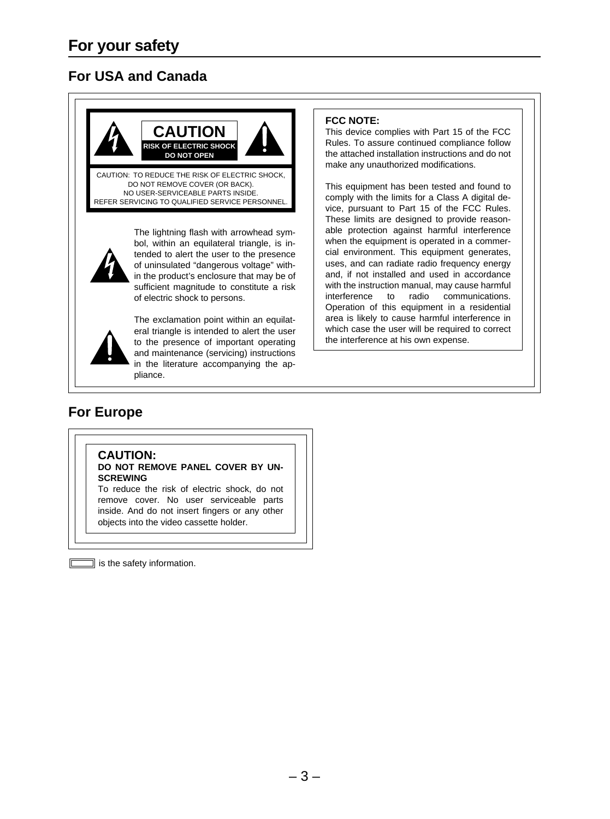# **For USA and Canada**



of uninsulated "dangerous voltage" within the product's enclosure that may be of sufficient magnitude to constitute a risk of electric shock to persons.



The exclamation point within an equilateral triangle is intended to alert the user to the presence of important operating and maintenance (servicing) instructions in the literature accompanying the appliance.

#### **FCC NOTE:**

This device complies with Part 15 of the FCC Rules. To assure continued compliance follow the attached installation instructions and do not make any unauthorized modifications.

This equipment has been tested and found to comply with the limits for a Class A digital device, pursuant to Part 15 of the FCC Rules. These limits are designed to provide reasonable protection against harmful interference when the equipment is operated in a commercial environment. This equipment generates, uses, and can radiate radio frequency energy and, if not installed and used in accordance with the instruction manual, may cause harmful interference to radio communications. Operation of this equipment in a residential area is likely to cause harmful interference in which case the user will be required to correct the interference at his own expense.

# **For Europe**

#### **CAUTION: DO NOT REMOVE PANEL COVER BY UN-SCREWING**

To reduce the risk of electric shock, do not remove cover. No user serviceable parts inside. And do not insert fingers or any other objects into the video cassette holder.

 $\exists$  is the safety information.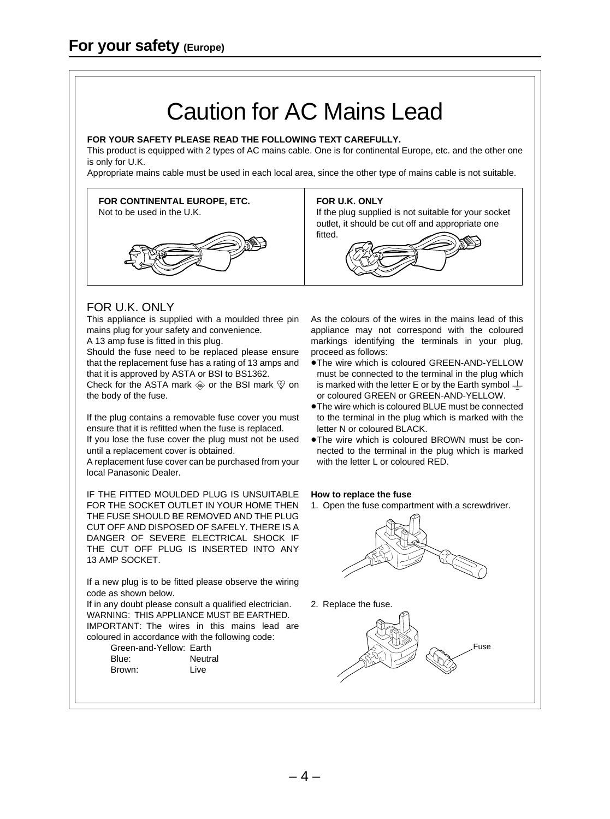# Caution for AC Mains Lead

#### **FOR YOUR SAFETY PLEASE READ THE FOLLOWING TEXT CAREFULLY.**

This product is equipped with 2 types of AC mains cable. One is for continental Europe, etc. and the other one is only for U.K.

Appropriate mains cable must be used in each local area, since the other type of mains cable is not suitable.

**FOR CONTINENTAL EUROPE, ETC.** Not to be used in the U.K.



## FOR U.K. ONLY

This appliance is supplied with a moulded three pin mains plug for your safety and convenience.

A 13 amp fuse is fitted in this plug.

Should the fuse need to be replaced please ensure that the replacement fuse has a rating of 13 amps and that it is approved by ASTA or BSI to BS1362.

Check for the ASTA mark  $\circledast$  or the BSI mark  $\circledast$  on the body of the fuse.

If the plug contains a removable fuse cover you must ensure that it is refitted when the fuse is replaced.

If you lose the fuse cover the plug must not be used until a replacement cover is obtained.

A replacement fuse cover can be purchased from your local Panasonic Dealer.

IF THE FITTED MOULDED PLUG IS UNSUITABLE FOR THE SOCKET OUTLET IN YOUR HOME THEN THE FUSE SHOULD BE REMOVED AND THE PLUG CUT OFF AND DISPOSED OF SAFELY. THERE IS A DANGER OF SEVERE ELECTRICAL SHOCK IF THE CUT OFF PLUG IS INSERTED INTO ANY 13 AMP SOCKET.

If a new plug is to be fitted please observe the wiring code as shown below.

If in any doubt please consult a qualified electrician. WARNING: THIS APPLIANCE MUST BE EARTHED. IMPORTANT: The wires in this mains lead are coloured in accordance with the following code:

| Green-and-Yellow: Earth |         |
|-------------------------|---------|
| Blue:                   | Neutral |
| Brown:                  | Live    |

**FOR U.K. ONLY**

If the plug supplied is not suitable for your socket outlet, it should be cut off and appropriate one fitted.



As the colours of the wires in the mains lead of this appliance may not correspond with the coloured markings identifying the terminals in your plug, proceed as follows:

- The wire which is coloured GREEN-AND-YELLOW must be connected to the terminal in the plug which is marked with the letter E or by the Earth symbol  $\perp$ or coloured GREEN or GREEN-AND-YELLOW.
- The wire which is coloured BLUE must be connected to the terminal in the plug which is marked with the letter N or coloured BLACK.
- ●The wire which is coloured BROWN must be connected to the terminal in the plug which is marked with the letter L or coloured RED.

#### **How to replace the fuse**

1. Open the fuse compartment with a screwdriver.

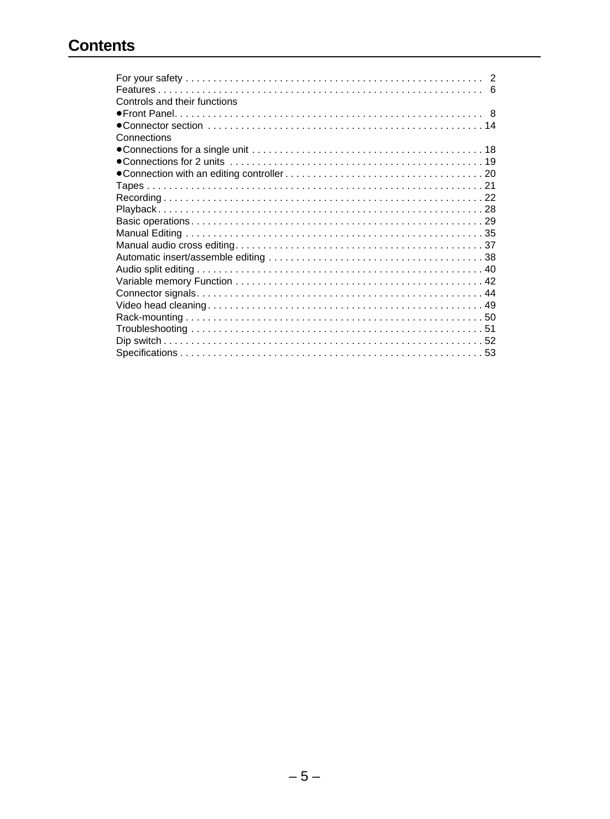# **Contents**

| Controls and their functions |  |
|------------------------------|--|
|                              |  |
|                              |  |
| Connections                  |  |
|                              |  |
|                              |  |
|                              |  |
|                              |  |
|                              |  |
|                              |  |
|                              |  |
|                              |  |
|                              |  |
|                              |  |
|                              |  |
|                              |  |
|                              |  |
|                              |  |
|                              |  |
|                              |  |
|                              |  |
|                              |  |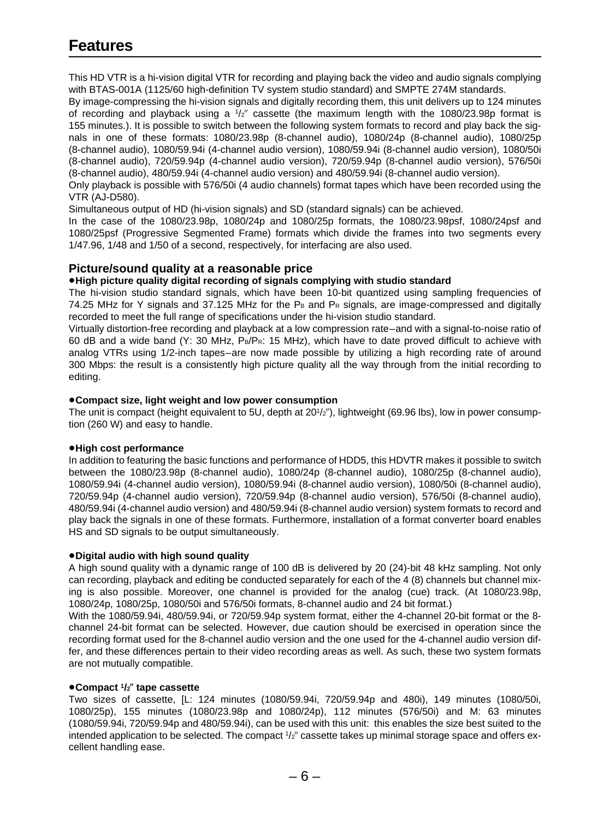# **Features**

This HD VTR is a hi-vision digital VTR for recording and playing back the video and audio signals complying with BTAS-001A (1125/60 high-definition TV system studio standard) and SMPTE 274M standards.

By image-compressing the hi-vision signals and digitally recording them, this unit delivers up to 124 minutes of recording and playback using a  $1/z''$  cassette (the maximum length with the 1080/23.98p format is 155 minutes.). It is possible to switch between the following system formats to record and play back the signals in one of these formats: 1080/23.98p (8-channel audio), 1080/24p (8-channel audio), 1080/25p (8-channel audio), 1080/59.94i (4-channel audio version), 1080/59.94i (8-channel audio version), 1080/50i (8-channel audio), 720/59.94p (4-channel audio version), 720/59.94p (8-channel audio version), 576/50i (8-channel audio), 480/59.94i (4-channel audio version) and 480/59.94i (8-channel audio version).

Only playback is possible with 576/50i (4 audio channels) format tapes which have been recorded using the VTR (AJ-D580).

Simultaneous output of HD (hi-vision signals) and SD (standard signals) can be achieved.

In the case of the 1080/23.98p, 1080/24p and 1080/25p formats, the 1080/23.98psf, 1080/24psf and 1080/25psf (Progressive Segmented Frame) formats which divide the frames into two segments every 1/47.96, 1/48 and 1/50 of a second, respectively, for interfacing are also used.

## **Picture/sound quality at a reasonable price**

#### ≥**High picture quality digital recording of signals complying with studio standard**

The hi-vision studio standard signals, which have been 10-bit quantized using sampling frequencies of 74.25 MHz for Y signals and 37.125 MHz for the  $P_B$  and  $P_B$  signals, are image-compressed and digitally recorded to meet the full range of specifications under the hi-vision studio standard.

Virtually distortion-free recording and playback at a low compression rate–and with a signal-to-noise ratio of 60 dB and a wide band  $(Y: 30 \text{ MHz}, \text{Ps/Pr}: 15 \text{ MHz})$ , which have to date proved difficult to achieve with analog VTRs using 1/2-inch tapes–are now made possible by utilizing a high recording rate of around 300 Mbps: the result is a consistently high picture quality all the way through from the initial recording to editing.

#### ≥**Compact size, light weight and low power consumption**

The unit is compact (height equivalent to 5U, depth at  $20<sup>1</sup>/2<sup>''</sup>$ ), lightweight (69.96 lbs), low in power consumption (260 W) and easy to handle.

#### ≥**High cost performance**

In addition to featuring the basic functions and performance of HDD5, this HDVTR makes it possible to switch between the 1080/23.98p (8-channel audio), 1080/24p (8-channel audio), 1080/25p (8-channel audio), 1080/59.94i (4-channel audio version), 1080/59.94i (8-channel audio version), 1080/50i (8-channel audio), 720/59.94p (4-channel audio version), 720/59.94p (8-channel audio version), 576/50i (8-channel audio), 480/59.94i (4-channel audio version) and 480/59.94i (8-channel audio version) system formats to record and play back the signals in one of these formats. Furthermore, installation of a format converter board enables HS and SD signals to be output simultaneously.

#### ≥**Digital audio with high sound quality**

A high sound quality with a dynamic range of 100 dB is delivered by 20 (24)-bit 48 kHz sampling. Not only can recording, playback and editing be conducted separately for each of the 4 (8) channels but channel mixing is also possible. Moreover, one channel is provided for the analog (cue) track. (At 1080/23.98p, 1080/24p, 1080/25p, 1080/50i and 576/50i formats, 8-channel audio and 24 bit format.)

With the 1080/59.94i, 480/59.94i, or 720/59.94p system format, either the 4-channel 20-bit format or the 8 channel 24-bit format can be selected. However, due caution should be exercised in operation since the recording format used for the 8-channel audio version and the one used for the 4-channel audio version differ, and these differences pertain to their video recording areas as well. As such, these two system formats are not mutually compatible.

#### ≥**Compact 1/2**z **tape cassette**

Two sizes of cassette, [L: 124 minutes (1080/59.94i, 720/59.94p and 480i), 149 minutes (1080/50i, 1080/25p), 155 minutes (1080/23.98p and 1080/24p), 112 minutes (576/50i) and M: 63 minutes (1080/59.94i, 720/59.94p and 480/59.94i), can be used with this unit: this enables the size best suited to the intended application to be selected. The compact  $1/z<sup>2</sup>$  cassette takes up minimal storage space and offers excellent handling ease.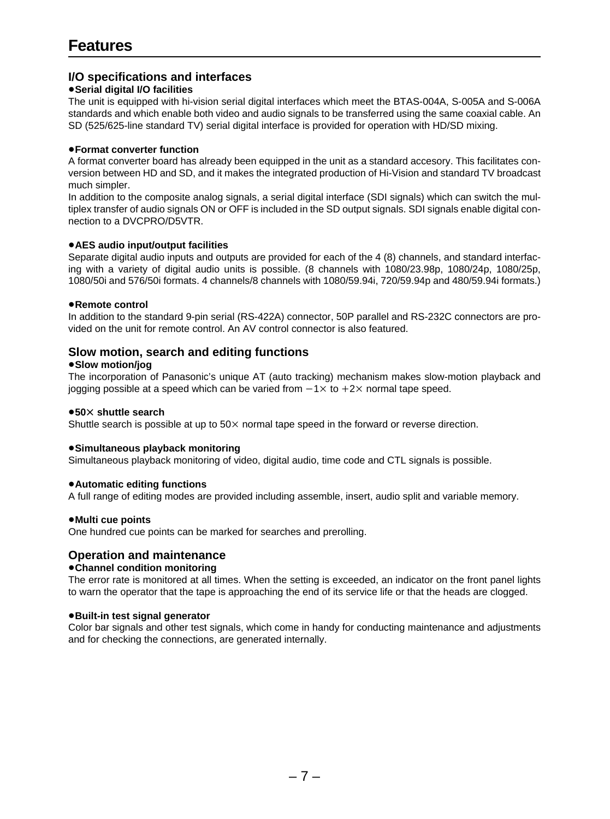## **I/O specifications and interfaces**

#### ≥**Serial digital I/O facilities**

The unit is equipped with hi-vision serial digital interfaces which meet the BTAS-004A, S-005A and S-006A standards and which enable both video and audio signals to be transferred using the same coaxial cable. An SD (525/625-line standard TV) serial digital interface is provided for operation with HD/SD mixing.

#### ≥**Format converter function**

A format converter board has already been equipped in the unit as a standard accesory. This facilitates conversion between HD and SD, and it makes the integrated production of Hi-Vision and standard TV broadcast much simpler.

In addition to the composite analog signals, a serial digital interface (SDI signals) which can switch the multiplex transfer of audio signals ON or OFF is included in the SD output signals. SDI signals enable digital connection to a DVCPRO/D5VTR.

#### ≥**AES audio input/output facilities**

Separate digital audio inputs and outputs are provided for each of the 4 (8) channels, and standard interfacing with a variety of digital audio units is possible. (8 channels with 1080/23.98p, 1080/24p, 1080/25p, 1080/50i and 576/50i formats. 4 channels/8 channels with 1080/59.94i, 720/59.94p and 480/59.94i formats.)

#### ≥**Remote control**

In addition to the standard 9-pin serial (RS-422A) connector, 50P parallel and RS-232C connectors are provided on the unit for remote control. An AV control connector is also featured.

### **Slow motion, search and editing functions**

#### ≥**Slow motion/jog**

The incorporation of Panasonic's unique AT (auto tracking) mechanism makes slow-motion playback and jogging possible at a speed which can be varied from  $-1\times$  to  $+2\times$  normal tape speed.

#### ≥**50**t **shuttle search**

Shuttle search is possible at up to  $50\times$  normal tape speed in the forward or reverse direction.

#### ≥**Simultaneous playback monitoring**

Simultaneous playback monitoring of video, digital audio, time code and CTL signals is possible.

#### ≥**Automatic editing functions**

A full range of editing modes are provided including assemble, insert, audio split and variable memory.

#### ≥**Multi cue points**

One hundred cue points can be marked for searches and prerolling.

### **Operation and maintenance**

#### ≥**Channel condition monitoring**

The error rate is monitored at all times. When the setting is exceeded, an indicator on the front panel lights to warn the operator that the tape is approaching the end of its service life or that the heads are clogged.

#### ≥**Built-in test signal generator**

Color bar signals and other test signals, which come in handy for conducting maintenance and adjustments and for checking the connections, are generated internally.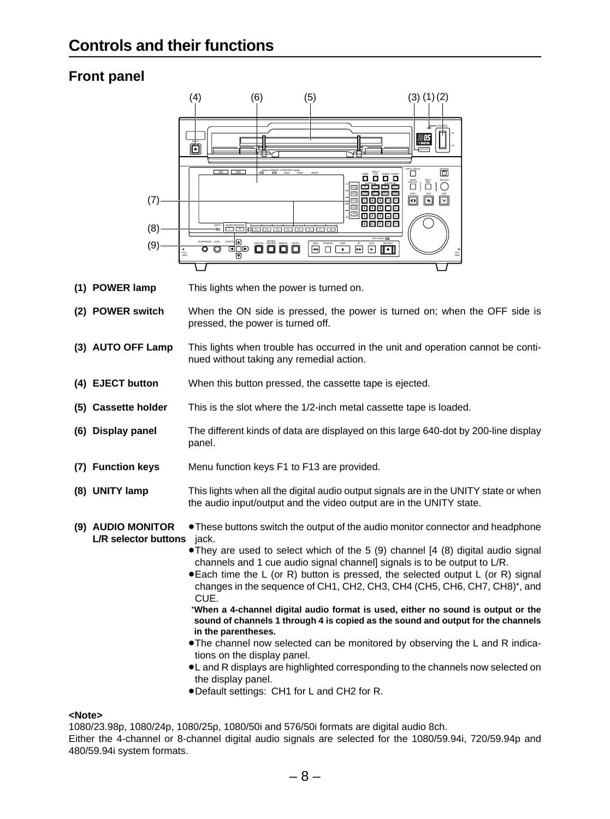# **Front panel**



- **0(1) POWER lamp** This lights when the power is turned on.
- **0(2) POWER switch** When the ON side is pressed, the power is turned on; when the OFF side is pressed, the power is turned off.
- **0(3) AUTO OFF Lamp** This lights when trouble has occurred in the unit and operation cannot be continued without taking any remedial action.
- **0(4) EJECT button** When this button pressed, the cassette tape is ejected.
- **0(5) Cassette holder** This is the slot where the 1/2-inch metal cassette tape is loaded.
- **0(6) Display panel** The different kinds of data are displayed on this large 640-dot by 200-line display panel.
- **0(7) Function keys** Menu function keys F1 to F13 are provided.
- **0(8) UNITY lamp** This lights when all the digital audio output signals are in the UNITY state or when the audio input/output and the video output are in the UNITY state.
- **(9) AUDIO MONITOR These buttons switch the output of the audio monitor connector and headphone L/R selector buttons** jack.
	- ≥They are used to select which of the 5 (9) channel [4 (8) digital audio signal channels and 1 cue audio signal channel] signals is to be output to L/R.
	- ≥Each time the L (or R) button is pressed, the selected output L (or R) signal changes in the sequence of CH1, CH2, CH3, CH4 (CH5, CH6, CH7, CH8)°, and CUE.

°**When a 4-channel digital audio format is used, either no sound is output or the sound of channels 1 through 4 is copied as the sound and output for the channels in the parentheses.**

- ≥The channel now selected can be monitored by observing the L and R indications on the display panel.
- ≥L and R displays are highlighted corresponding to the channels now selected on the display panel.
- ≥Default settings: CH1 for L and CH2 for R.

#### **<Note>**

1080/23.98p, 1080/24p, 1080/25p, 1080/50i and 576/50i formats are digital audio 8ch.

Either the 4-channel or 8-channel digital audio signals are selected for the 1080/59.94i, 720/59.94p and 480/59.94i system formats.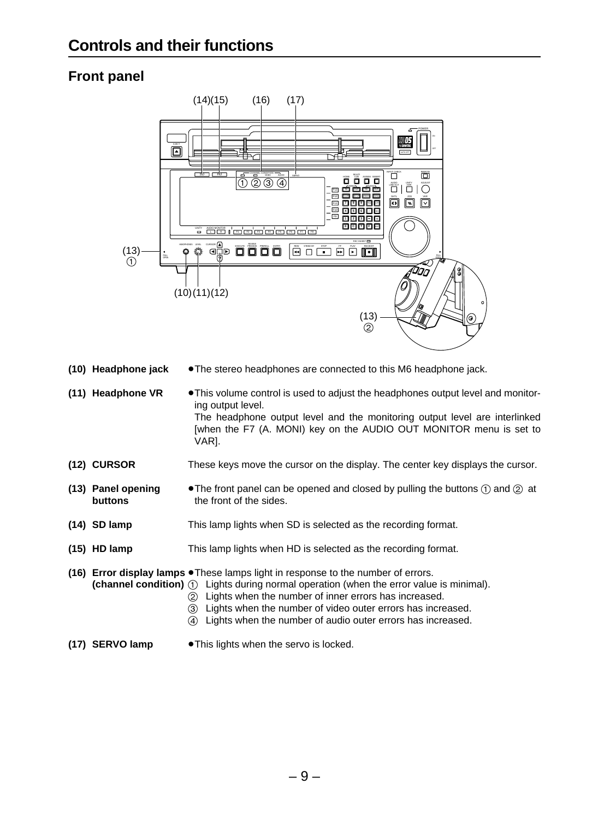# **Front panel**



- **(10) Headphone jack** ≥The stereo headphones are connected to this M6 headphone jack.
- **(11) Headphone VR This volume control is used to adjust the headphones output level and monitor**ing output level. The headphone output level and the monitoring output level are interlinked [when the F7 (A. MONI) key on the AUDIO OUT MONITOR menu is set to VAR].
- **(12) CURSOR** These keys move the cursor on the display. The center key displays the cursor.
- **(13) Panel opening** ●The front panel can be opened and closed by pulling the buttons ① and ② at **buttons** the front of the sides. the front of the sides.
- **(14) SD lamp** This lamp lights when SD is selected as the recording format.
- **(15) HD lamp** This lamp lights when HD is selected as the recording format.
- **(16) Error display lamps** ●These lamps light in response to the number of errors. **(channel condition)** 1 Lights during normal operation (when the error value is minimal).
	- 2 Lights when the number of inner errors has increased.
	- 3 Lights when the number of video outer errors has increased.
	- 4 Lights when the number of audio outer errors has increased.
- **(17) SERVO lamp This lights when the servo is locked.**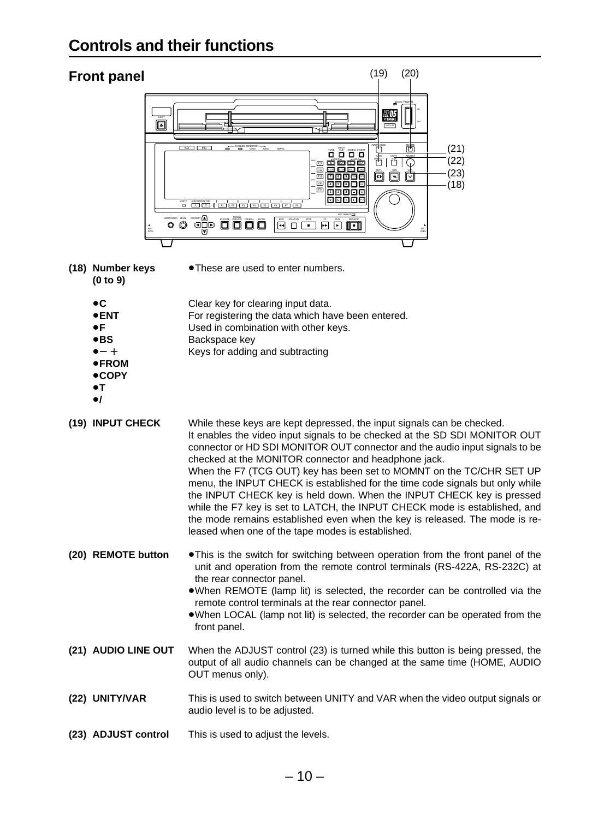# **Controls and their functions**

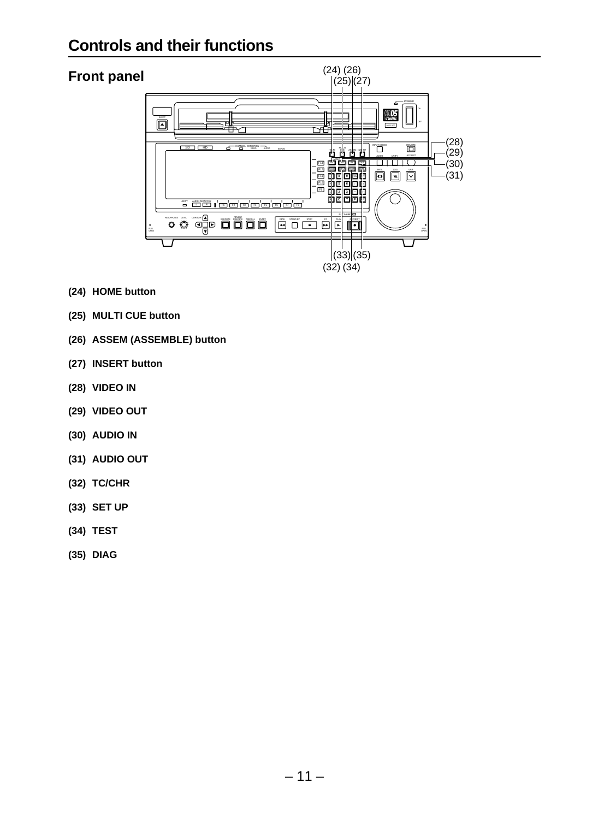# **Controls and their functions**



- **(24) HOME button**
- **(25) MULTI CUE button**
- **(26) ASSEM (ASSEMBLE) button**
- **(27) INSERT button**
- **(28) VIDEO IN**
- **(29) VIDEO OUT**
- **(30) AUDIO IN**
- **(31) AUDIO OUT**
- **(32) TC/CHR**
- **(33) SET UP**
- **(34) TEST**
- **(35) DIAG**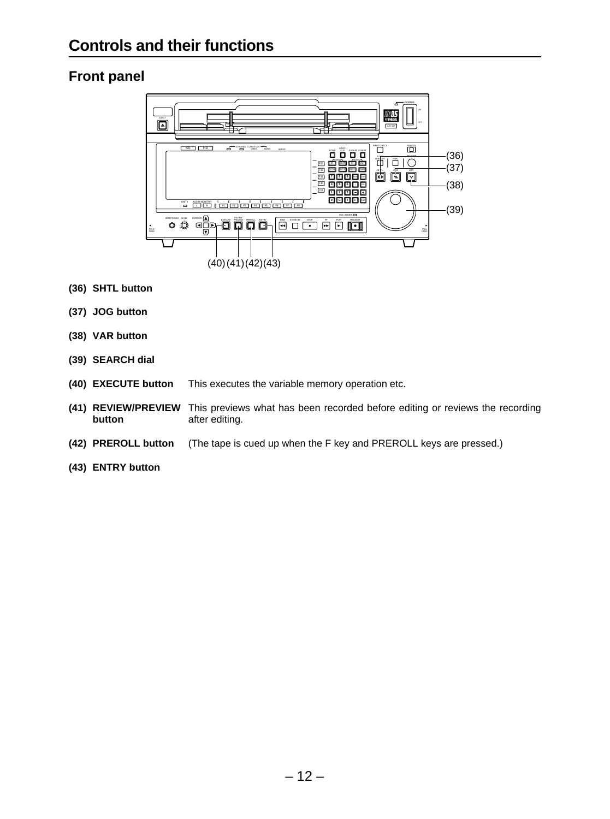# **Front panel**



- **(36) SHTL button**
- **(37) JOG button**
- **(38) VAR button**
- **(39) SEARCH dial**
- **(40) EXECUTE button** This executes the variable memory operation etc.
- **(41) REVIEW/PREVIEW** This previews what has been recorded before editing or reviews the recording **button** after editing.
- **(42) PREROLL button** (The tape is cued up when the F key and PREROLL keys are pressed.)
- **(43) ENTRY button**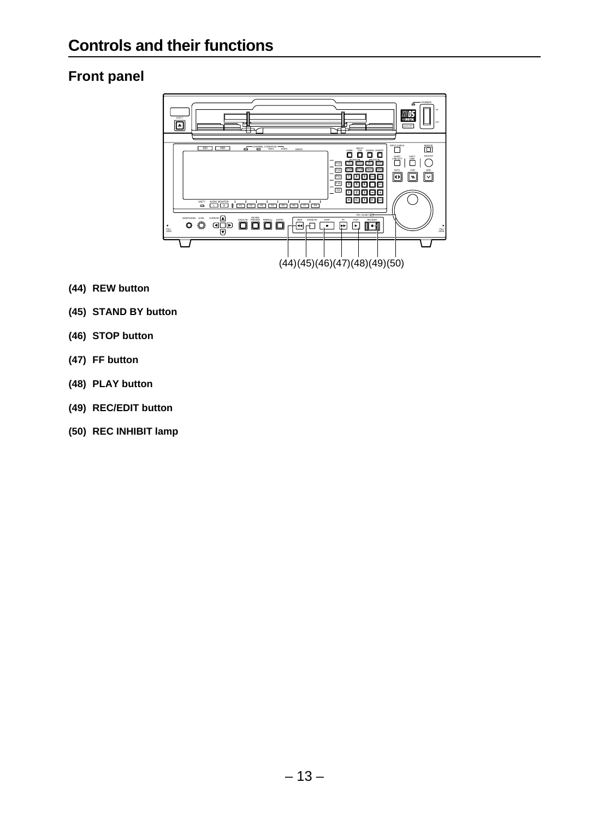# **Front panel**



- **(44) REW button**
- **(45) STAND BY button**
- **(46) STOP button**
- **(47) FF button**
- **(48) PLAY button**
- **(49) REC/EDIT button**
- **(50) REC INHIBIT lamp**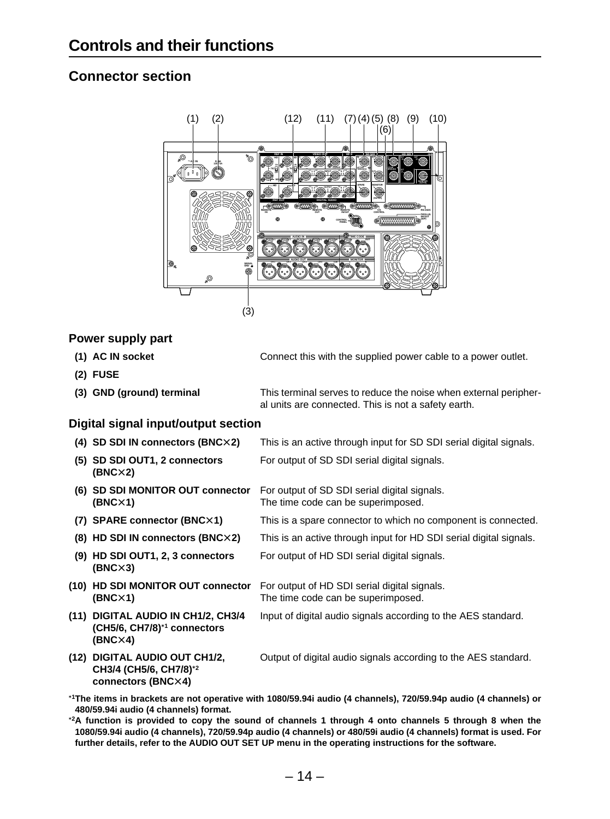

## **Power supply part**

- **(1) AC IN socket** Connect this with the supplied power cable to a power outlet.
- **(2) FUSE**
- 

**(3) GND (ground) terminal** This terminal serves to reduce the noise when external peripheral units are connected. This is not a safety earth.

## **Digital signal input/output section**

| (4) SD SDI IN connectors (BNC $\times$ 2)                                                | This is an active through input for SD SDI serial digital signals.                 |
|------------------------------------------------------------------------------------------|------------------------------------------------------------------------------------|
| (5) SD SDI OUT1, 2 connectors<br>(BNCX2)                                                 | For output of SD SDI serial digital signals.                                       |
| (6) SD SDI MONITOR OUT connector<br>(BNCX1)                                              | For output of SD SDI serial digital signals.<br>The time code can be superimposed. |
| (7) SPARE connector (BNC $\times$ 1)                                                     | This is a spare connector to which no component is connected.                      |
| (8) HD SDI IN connectors (BNC $\times$ 2)                                                | This is an active through input for HD SDI serial digital signals.                 |
| (9) HD SDI OUT1, 2, 3 connectors<br>(BNCX3)                                              | For output of HD SDI serial digital signals.                                       |
| (10) HD SDI MONITOR OUT connector<br>(BNCX1)                                             | For output of HD SDI serial digital signals.<br>The time code can be superimposed. |
| (11) DIGITAL AUDIO IN CH1/2, CH3/4<br>(CH5/6, CH7/8) <sup>*1</sup> connectors<br>(BNC×4) | Input of digital audio signals according to the AES standard.                      |
| (12) DIGITAL AUDIO OUT CH1/2,<br>CH3/4 (CH5/6, CH7/8)*2<br>connectors (BNC×4)            | Output of digital audio signals according to the AES standard.                     |
|                                                                                          |                                                                                    |

° **1The items in brackets are not operative with 1080/59.94i audio (4 channels), 720/59.94p audio (4 channels) or 480/59.94i audio (4 channels) format.**

° **2A function is provided to copy the sound of channels 1 through 4 onto channels 5 through 8 when the 1080/59.94i audio (4 channels), 720/59.94p audio (4 channels) or 480/59i audio (4 channels) format is used. For further details, refer to the AUDIO OUT SET UP menu in the operating instructions for the software.**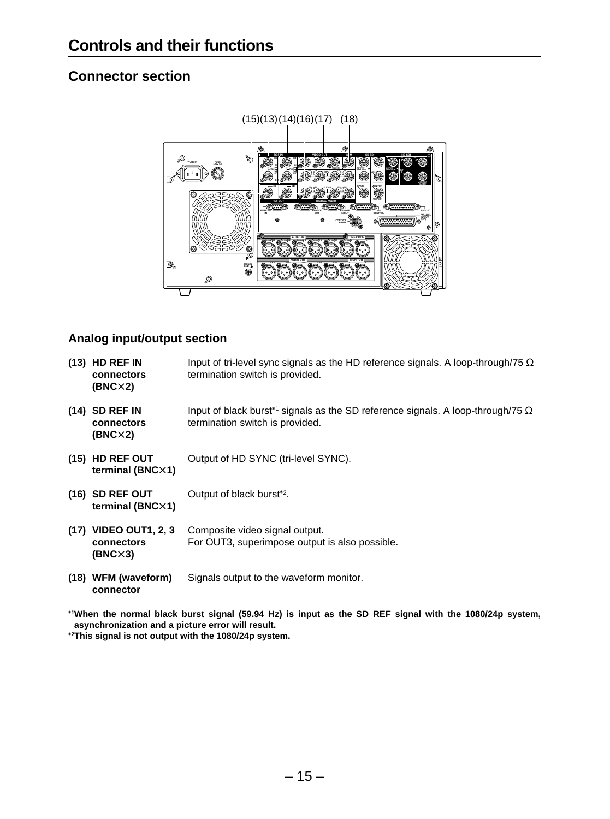

## **Analog input/output section**

|      | (13) HD REF IN<br><b>connectors</b><br>(BNCX2)        | Input of tri-level sync signals as the HD reference signals. A loop-through/75 $\Omega$<br>termination switch is provided. |
|------|-------------------------------------------------------|----------------------------------------------------------------------------------------------------------------------------|
| (14) | <b>SD REF IN</b><br><b>connectors</b><br>(BNCX2)      | Input of black burst*1 signals as the SD reference signals. A loop-through/75 $\Omega$<br>termination switch is provided.  |
|      | (15) HD REF OUT<br>terminal (BNC $\times$ 1)          | Output of HD SYNC (tri-level SYNC).                                                                                        |
|      | (16) SD REF OUT<br>terminal (BNC $\times$ 1)          | Output of black burst <sup>*2</sup> .                                                                                      |
|      | (17) VIDEO OUT1, 2, 3<br>connectors<br>$(BNC\times3)$ | Composite video signal output.<br>For OUT3, superimpose output is also possible.                                           |
|      | (18) WFM (waveform)<br>connector                      | Signals output to the waveform monitor.                                                                                    |

°**1When the normal black burst signal (59.94 Hz) is input as the SD REF signal with the 1080/24p system, asynchronization and a picture error will result.**

°**2This signal is not output with the 1080/24p system.**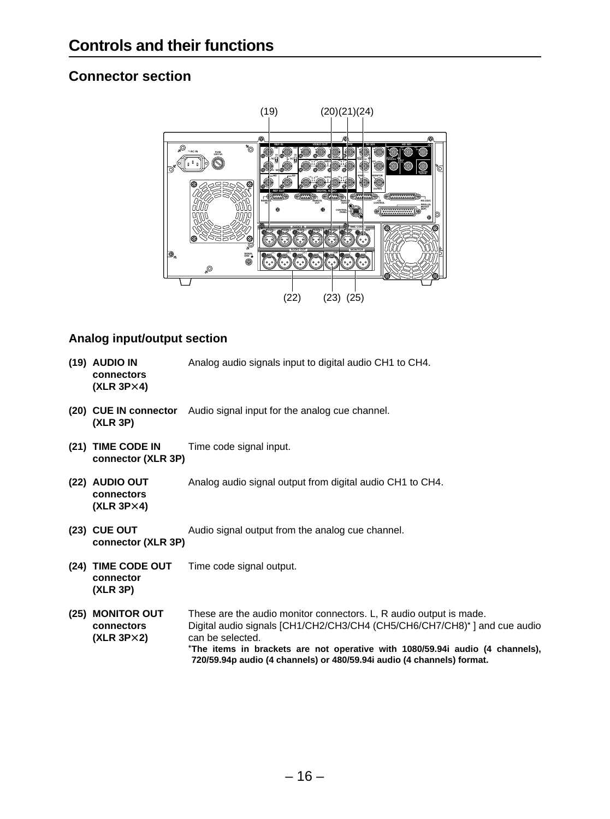

# **Analog input/output section**

|      | (19) AUDIO IN<br>connectors<br>$(XLR 3P \times 4)$      | Analog audio signals input to digital audio CH1 to CH4.                                                                                                                                                                                                                                                                       |
|------|---------------------------------------------------------|-------------------------------------------------------------------------------------------------------------------------------------------------------------------------------------------------------------------------------------------------------------------------------------------------------------------------------|
|      | (XLR 3P)                                                | (20) CUE IN connector Audio signal input for the analog cue channel.                                                                                                                                                                                                                                                          |
|      | (21) TIME CODE IN<br>connector (XLR 3P)                 | Time code signal input.                                                                                                                                                                                                                                                                                                       |
|      | (22) AUDIO OUT<br>connectors<br>$(XLR 3P \times 4)$     | Analog audio signal output from digital audio CH1 to CH4.                                                                                                                                                                                                                                                                     |
|      | (23) CUE OUT<br>connector (XLR 3P)                      | Audio signal output from the analog cue channel.                                                                                                                                                                                                                                                                              |
| (24) | <b>TIME CODE OUT</b><br>connector<br>(XLR 3P)           | Time code signal output.                                                                                                                                                                                                                                                                                                      |
| (25) | <b>MONITOR OUT</b><br>connectors<br>$(XLR 3P \times 2)$ | These are the audio monitor connectors. L, R audio output is made.<br>Digital audio signals [CH1/CH2/CH3/CH4 (CH5/CH6/CH7/CH8)*] and cue audio<br>can be selected.<br>*The items in brackets are not operative with 1080/59.94i audio (4 channels),<br>720/59.94p audio (4 channels) or 480/59.94i audio (4 channels) format. |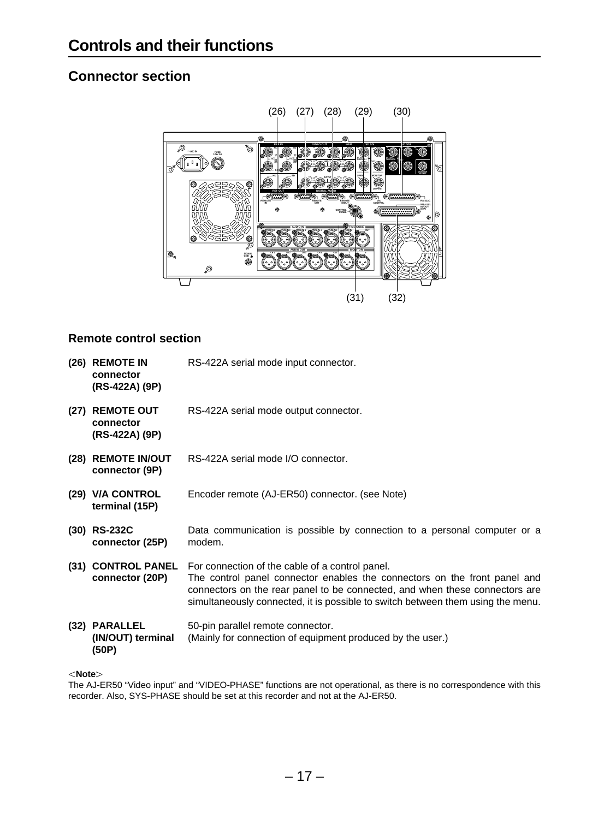

## **Remote control section**

|      | (26) REMOTE IN<br>connector<br>(RS-422A) (9P)    | RS-422A serial mode input connector.                                                                                                                                                                                                                                                           |
|------|--------------------------------------------------|------------------------------------------------------------------------------------------------------------------------------------------------------------------------------------------------------------------------------------------------------------------------------------------------|
| (27) | <b>REMOTE OUT</b><br>connector<br>(RS-422A) (9P) | RS-422A serial mode output connector.                                                                                                                                                                                                                                                          |
| (28) | <b>REMOTE IN/OUT</b><br>connector (9P)           | RS-422A serial mode I/O connector.                                                                                                                                                                                                                                                             |
|      | (29) V/A CONTROL<br>terminal (15P)               | Encoder remote (AJ-ER50) connector. (see Note)                                                                                                                                                                                                                                                 |
|      | (30) RS-232C<br>connector (25P)                  | Data communication is possible by connection to a personal computer or a<br>modem.                                                                                                                                                                                                             |
|      | (31) CONTROL PANEL<br>connector (20P)            | For connection of the cable of a control panel.<br>The control panel connector enables the connectors on the front panel and<br>connectors on the rear panel to be connected, and when these connectors are<br>simultaneously connected, it is possible to switch between them using the menu. |
|      | (32) PARALLEL<br>(IN/OUT) terminal<br>(50P)      | 50-pin parallel remote connector.<br>(Mainly for connection of equipment produced by the user.)                                                                                                                                                                                                |

#### $<$ **Note** $>$

The AJ-ER50 "Video input" and "VIDEO-PHASE" functions are not operational, as there is no correspondence with this recorder. Also, SYS-PHASE should be set at this recorder and not at the AJ-ER50.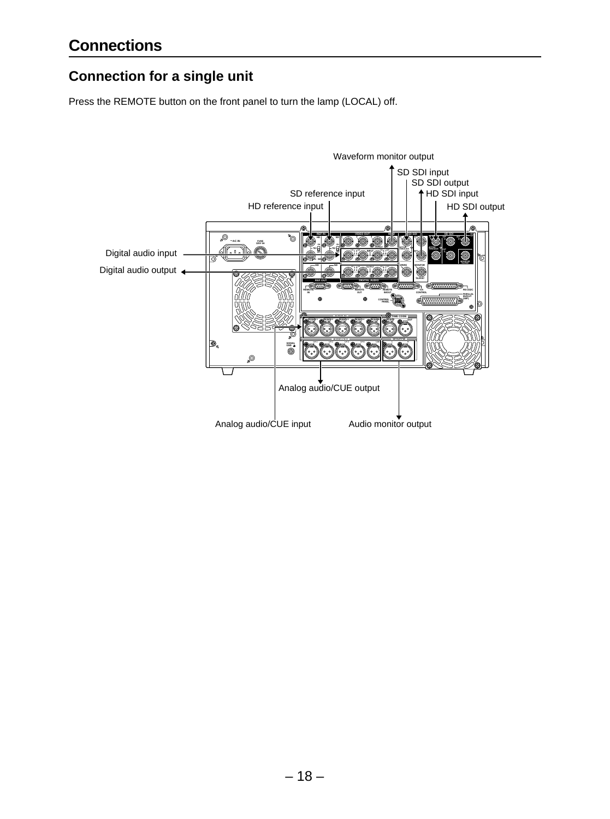# **Connection for a single unit**

Press the REMOTE button on the front panel to turn the lamp (LOCAL) off.

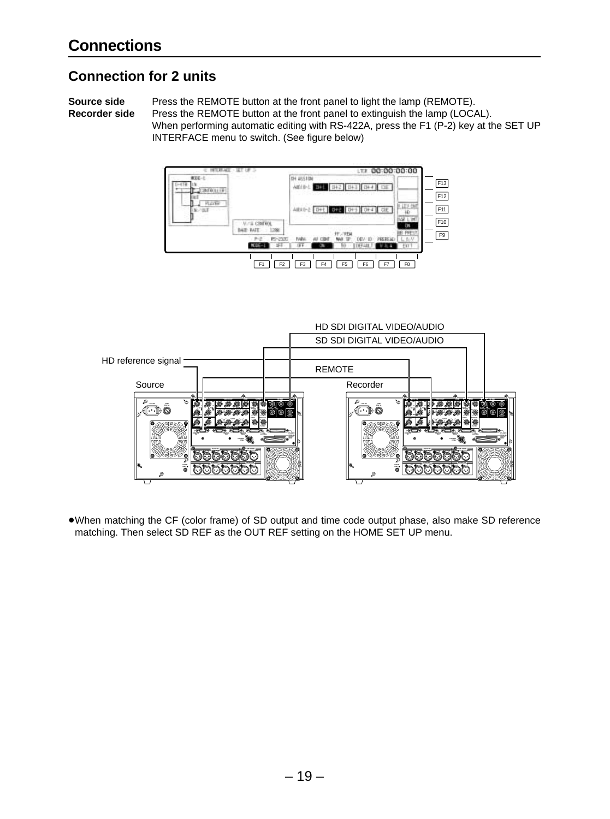# **Connection for 2 units**

**Source side** Press the REMOTE button at the front panel to light the lamp (REMOTE). **Recorder side** Press the REMOTE button at the front panel to extinguish the lamp (LOCAL). When performing automatic editing with RS-422A, press the F1 (P-2) key at the SET UP INTERFACE menu to switch. (See figure below)





≥When matching the CF (color frame) of SD output and time code output phase, also make SD reference matching. Then select SD REF as the OUT REF setting on the HOME SET UP menu.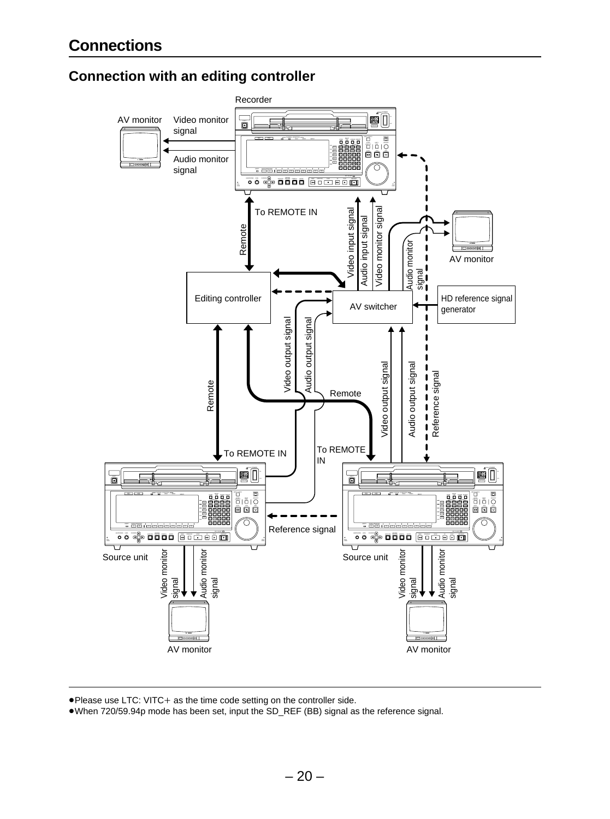# **Connection with an editing controller**



●Please use LTC: VITC+ as the time code setting on the controller side.

≥When 720/59.94p mode has been set, input the SD\_REF (BB) signal as the reference signal.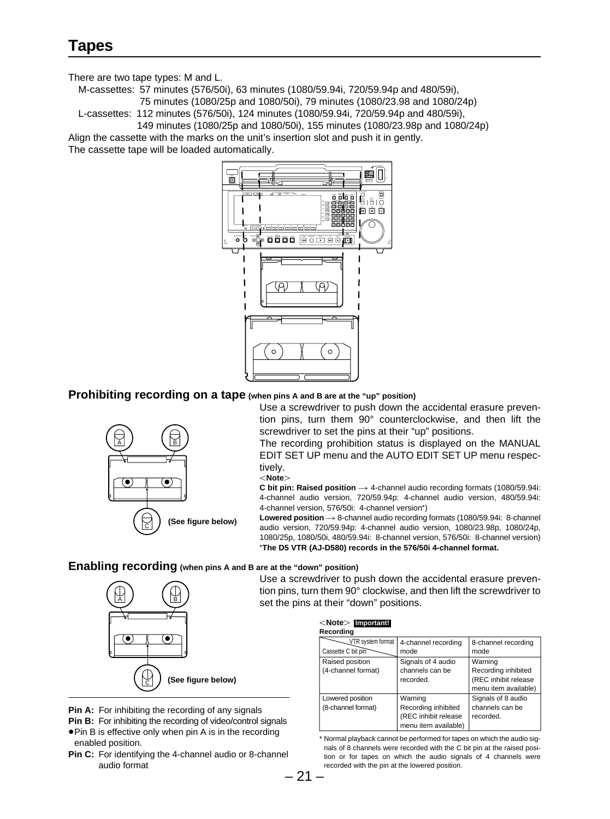There are two tape types: M and L.

M-cassettes: 57 minutes (576/50i), 63 minutes (1080/59.94i, 720/59.94p and 480/59i), 75 minutes (1080/25p and 1080/50i), 79 minutes (1080/23.98 and 1080/24p)

L-cassettes: 112 minutes (576/50i), 124 minutes (1080/59.94i, 720/59.94p and 480/59i), 149 minutes (1080/25p and 1080/50i), 155 minutes (1080/23.98p and 1080/24p)

Align the cassette with the marks on the unit's insertion slot and push it in gently. The cassette tape will be loaded automatically.



**Prohibiting recording on a tape (when pins A and B are at the "up" position)**



Use a screwdriver to push down the accidental erasure prevention pins, turn them 90° counterclockwise, and then lift the screwdriver to set the pins at their "up" positions.

The recording prohibition status is displayed on the MANUAL EDIT SET UP menu and the AUTO EDIT SET UP menu respectively.

<Note>

**C bit pin: Raised position**  $\rightarrow$  4-channel audio recording formats (1080/59.94i: 4-channel audio version, 720/59.94p: 4-channel audio version, 480/59.94i: 4-channel version, 576/50i: 4-channel version°)

**Lowered position** → 8-channel audio recording formats (1080/59.94i: 8-channel audio version, 720/59.94p: 4-channel audio version, 1080/23.98p, 1080/24p, 1080/25p, 1080/50i, 480/59.94i: 8-channel version, 576/50i: 8-channel version) °**The D5 VTR (AJ-D580) records in the 576/50i 4-channel format.**

Use a screwdriver to push down the accidental erasure preven-

#### **Enabling recording (when pins A and B are at the "down" position)**



tion pins, turn them 90° clockwise, and then lift the screwdriver to set the pins at their "down" positions.

<Note> Important! **Recording**

| Recording          |                      |                      |
|--------------------|----------------------|----------------------|
| VTR system format  | 4-channel recording  | 8-channel recording  |
| Cassette C bit pin | mode                 | mode                 |
| Raised position    | Signals of 4 audio   | Warning              |
| (4-channel format) | channels can be      | Recording inhibited  |
|                    | recorded.            | (REC inhibit release |
|                    |                      | menu item available) |
| Lowered position   | Warning              | Signals of 8 audio   |
| (8-channel format) | Recording inhibited  | channels can be      |
|                    | (REC inhibit release | recorded.            |
|                    | menu item available) |                      |

\* Normal playback cannot be performed for tapes on which the audio signals of 8 channels were recorded with the C bit pin at the raised position or for tapes on which the audio signals of 4 channels were recorded with the pin at the lowered position.

**Pin A:** For inhibiting the recording of any signals

- **Pin B:** For inhibiting the recording of video/control signals ●Pin B is effective only when pin A is in the recording enabled position.
- **Pin C:** For identifying the 4-channel audio or 8-channel audio format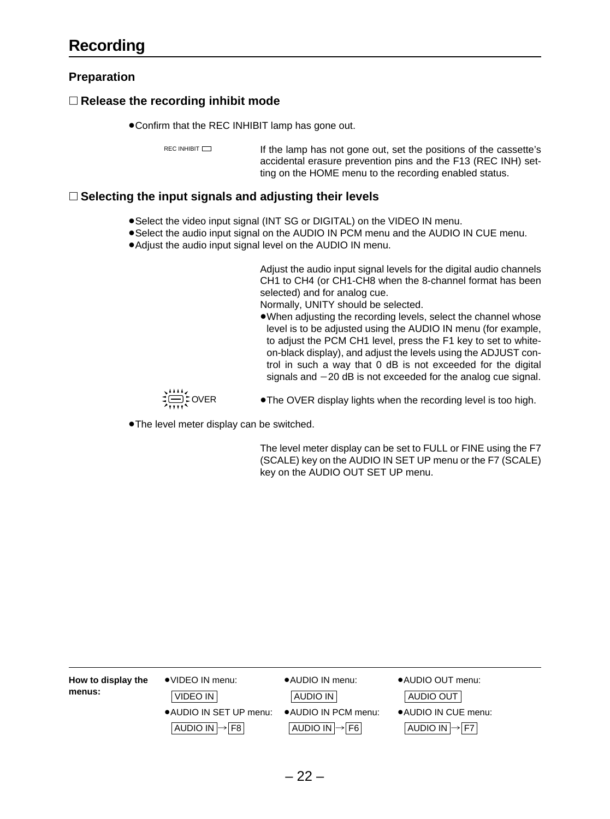## **Preparation**

## ∑ **Release the recording inhibit mode**

● Confirm that the REC INHIBIT lamp has gone out.

REC INHIBIT

If the lamp has not gone out, set the positions of the cassette's accidental erasure prevention pins and the F13 (REC INH) setting on the HOME menu to the recording enabled status.

## ∑ **Selecting the input signals and adjusting their levels**

- ●Select the video input signal (INT SG or DIGITAL) on the VIDEO IN menu.
- ●Select the audio input signal on the AUDIO IN PCM menu and the AUDIO IN CUE menu.
- Adjust the audio input signal level on the AUDIO IN menu.

Adjust the audio input signal levels for the digital audio channels CH1 to CH4 (or CH1-CH8 when the 8-channel format has been selected) and for analog cue.

Normally, UNITY should be selected.

●When adjusting the recording levels, select the channel whose level is to be adjusted using the AUDIO IN menu (for example, to adjust the PCM CH1 level, press the F1 key to set to whiteon-black display), and adjust the levels using the ADJUST control in such a way that 0 dB is not exceeded for the digital signals and  $-20$  dB is not exceeded for the analog cue signal.



● The OVER display lights when the recording level is too high.

● The level meter display can be switched.

The level meter display can be set to FULL or FINE using the F7 (SCALE) key on the AUDIO IN SET UP menu or the F7 (SCALE) key on the AUDIO OUT SET UP menu.

| How to display the<br>menus: | •VIDEO IN menu:<br>VIDEO IN         | • AUDIO IN menu:<br>  AUDIO IN      | ●AUDIO OUT menu:<br>  AUDIO OUT       |
|------------------------------|-------------------------------------|-------------------------------------|---------------------------------------|
|                              | ●AUDIO IN SET UP menu:              | ●AUDIO IN PCM menu:                 | ●AUDIO IN CUE menu:                   |
|                              | $ $ audio in $ \rightarrow $ F8 $ $ | $ $ AUDIO IN $ \rightarrow $ F6 $ $ | $ $ AUDIO IN $  \rightarrow  $ F7 $ $ |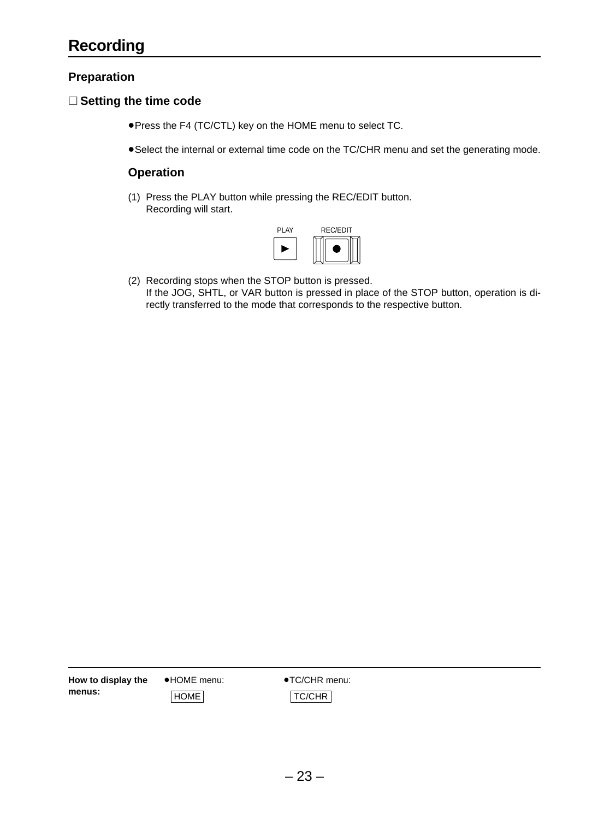## **Preparation**

## ∑ **Setting the time code**

- ≥Press the F4 (TC/CTL) key on the HOME menu to select TC.
- ●Select the internal or external time code on the TC/CHR menu and set the generating mode.

## **Operation**

(1) Press the PLAY button while pressing the REC/EDIT button. Recording will start.



- (2) Recording stops when the STOP button is pressed.
	- If the JOG, SHTL, or VAR button is pressed in place of the STOP button, operation is directly transferred to the mode that corresponds to the respective button.

**How to display the** ≥HOME menu: ≥TC/CHR menu:

| **HOME | TC/CHR** |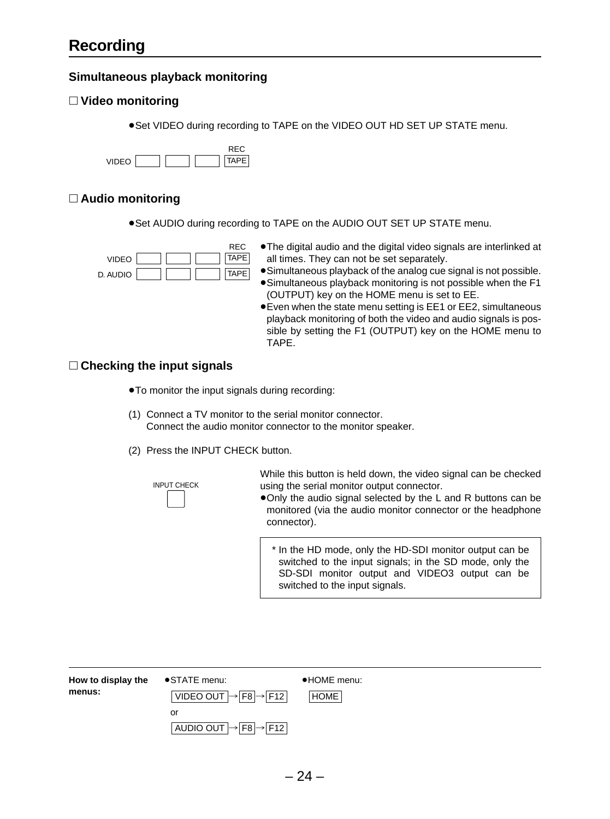## **Simultaneous playback monitoring**

## ∑ **Video monitoring**

●Set VIDEO during recording to TAPE on the VIDEO OUT HD SET UP STATE menu.



## ∑ **Audio monitoring**

●Set AUDIO during recording to TAPE on the AUDIO OUT SET UP STATE menu.



- ≥The digital audio and the digital video signals are interlinked at all times. They can not be set separately.
- ≥Simultaneous playback of the analog cue signal is not possible.
- ●Simultaneous playback monitoring is not possible when the F1 (OUTPUT) key on the HOME menu is set to EE.
- ●Even when the state menu setting is EE1 or EE2, simultaneous playback monitoring of both the video and audio signals is possible by setting the F1 (OUTPUT) key on the HOME menu to TAPE.

## ∑ **Checking the input signals**

● To monitor the input signals during recording:

- (1) Connect a TV monitor to the serial monitor connector. Connect the audio monitor connector to the monitor speaker.
- (2) Press the INPUT CHECK button.

|  | INPUT CHECK |  |
|--|-------------|--|
|  |             |  |

While this button is held down, the video signal can be checked using the serial monitor output connector.

≥Only the audio signal selected by the L and R buttons can be monitored (via the audio monitor connector or the headphone connector).

\* In the HD mode, only the HD-SDI monitor output can be switched to the input signals; in the SD mode, only the SD-SDI monitor output and VIDEO3 output can be switched to the input signals.

| How to display the<br>menus: | $\bullet$ STATE menu:<br>$ $ VIDEO OUT $\rightarrow$ F8 $\rightarrow$ F12            | •HOME menu:<br>HOME I |
|------------------------------|--------------------------------------------------------------------------------------|-----------------------|
|                              | or                                                                                   |                       |
|                              | $\vert$ AUDIO OUT $\vert \rightarrow \vert$ F8 $\vert \rightarrow \vert$ F12 $\vert$ |                       |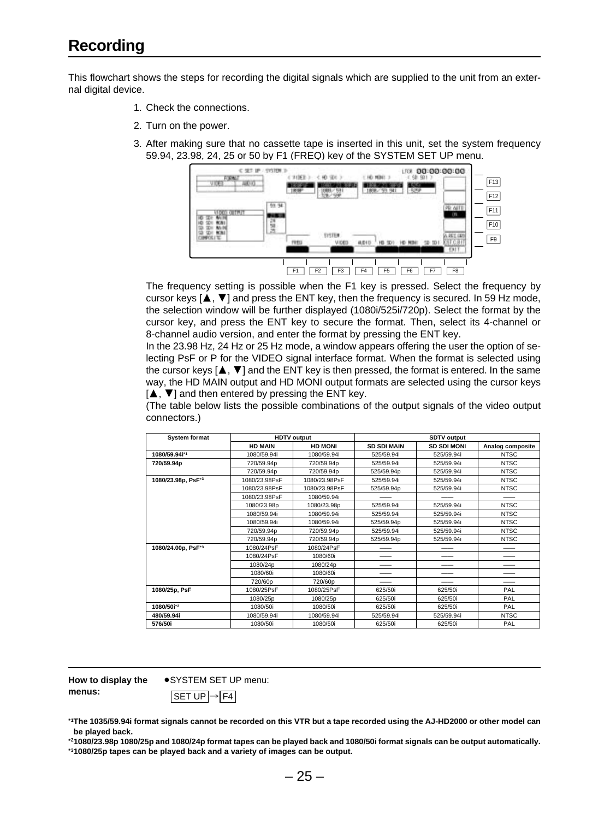This flowchart shows the steps for recording the digital signals which are supplied to the unit from an external digital device.

- 1. Check the connections.
- 2. Turn on the power.
- 13. After making sure that no cassette tape is inserted in this unit, set the system frequency 59.94, 23.98, 24, 25 or 50 by F1 (FREQ) key of the SYSTEM SET UP menu.



The frequency setting is possible when the F1 key is pressed. Select the frequency by cursor keys  $[\triangle, \nabla]$  and press the ENT key, then the frequency is secured. In 59 Hz mode, the selection window will be further displayed (1080i/525i/720p). Select the format by the cursor key, and press the ENT key to secure the format. Then, select its 4-channel or 8-channel audio version, and enter the format by pressing the ENT key.

In the 23.98 Hz, 24 Hz or 25 Hz mode, a window appears offering the user the option of selecting PsF or P for the VIDEO signal interface format. When the format is selected using the cursor keys  $[\triangle, \nabla]$  and the ENT key is then pressed, the format is entered. In the same way, the HD MAIN output and HD MONI output formats are selected using the cursor keys  $[\triangle, \nabla]$  and then entered by pressing the ENT key.

(The table below lists the possible combinations of the output signals of the video output connectors.)

| <b>System format</b>           |                | <b>HDTV</b> output |                    | <b>SDTV</b> output |                  |  |
|--------------------------------|----------------|--------------------|--------------------|--------------------|------------------|--|
|                                | <b>HD MAIN</b> | <b>HD MONI</b>     | <b>SD SDI MAIN</b> | <b>SD SDI MONI</b> | Analog composite |  |
| 1080/59.94i*1                  | 1080/59.94i    | 1080/59.94i        | 525/59.94i         | 525/59.94i         | <b>NTSC</b>      |  |
| 720/59.94p                     | 720/59.94p     | 720/59.94p         | 525/59.94i         | 525/59.94i         | <b>NTSC</b>      |  |
|                                | 720/59.94p     | 720/59.94p         | 525/59.94p         | 525/59.94i         | <b>NTSC</b>      |  |
| 1080/23.98p, PsF <sup>*3</sup> | 1080/23.98PsF  | 1080/23.98PsF      | 525/59.94i         | 525/59.94i         | <b>NTSC</b>      |  |
|                                | 1080/23.98PsF  | 1080/23.98PsF      | 525/59.94p         | 525/59.94i         | <b>NTSC</b>      |  |
|                                | 1080/23.98PsF  | 1080/59.94i        |                    |                    |                  |  |
|                                | 1080/23.98p    | 1080/23.98p        | 525/59.94i         | 525/59.94i         | <b>NTSC</b>      |  |
|                                | 1080/59.94i    | 1080/59.94i        | 525/59.94i         | 525/59.94i         | <b>NTSC</b>      |  |
|                                | 1080/59.94i    | 1080/59.94i        | 525/59.94p         | 525/59.94i         | <b>NTSC</b>      |  |
|                                | 720/59.94p     | 720/59.94p         | 525/59.94i         | 525/59.94i         | <b>NTSC</b>      |  |
|                                | 720/59.94p     | 720/59.94p         | 525/59.94p         | 525/59.94i         | <b>NTSC</b>      |  |
| 1080/24.00p, PsF <sup>*3</sup> | 1080/24PsF     | 1080/24PsF         |                    |                    |                  |  |
|                                | 1080/24PsF     | 1080/60i           |                    |                    |                  |  |
|                                | 1080/24p       | 1080/24p           |                    |                    |                  |  |
|                                | 1080/60i       | 1080/60i           |                    |                    |                  |  |
|                                | 720/60p        | 720/60p            |                    |                    |                  |  |
| 1080/25p, PsF                  | 1080/25PsF     | 1080/25PsF         | 625/50i            | 625/50i            | PAL              |  |
|                                | 1080/25p       | 1080/25p           | 625/50i            | 625/50i            | PAL              |  |
| 1080/50i*2                     | 1080/50i       | 1080/50i           | 625/50i            | 625/50i            | PAL              |  |
| 480/59.94i                     | 1080/59.94i    | 1080/59.94i        | 525/59.94i         | 525/59.94i         | <b>NTSC</b>      |  |
| 576/50i                        | 1080/50i       | 1080/50i           | 625/50i            | 625/50i            | PAL              |  |

**How to display the ●SYSTEM SET UP menu: menus: BET UP** → F4



<sup>°</sup>**1The 1035/59.94i format signals cannot be recorded on this VTR but a tape recorded using the AJ-HD2000 or other model can be played back.**

°**21080/23.98p 1080/25p and 1080/24p format tapes can be played back and 1080/50i format signals can be output automatically.**

°**31080/25p tapes can be played back and a variety of images can be output.**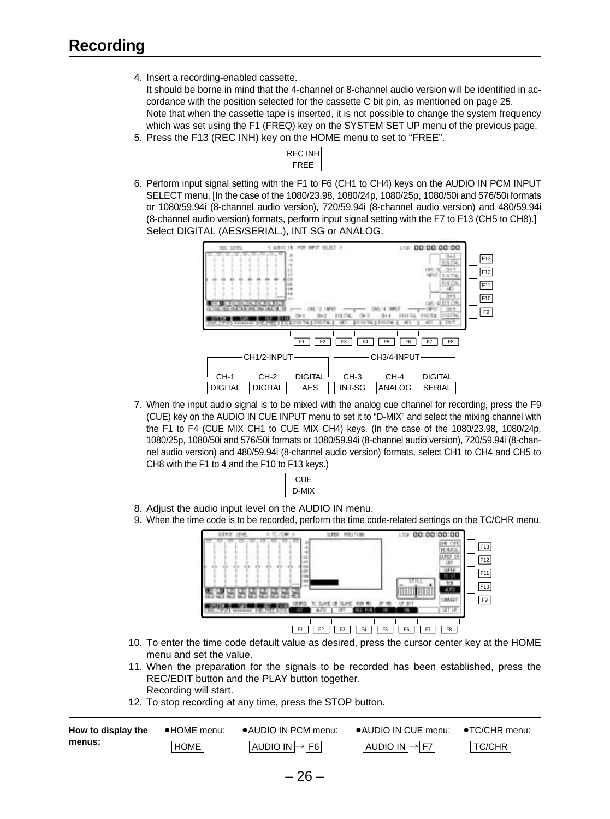14. Insert a recording-enabled cassette.

It should be borne in mind that the 4-channel or 8-channel audio version will be identified in accordance with the position selected for the cassette C bit pin, as mentioned on page 25. Note that when the cassette tape is inserted, it is not possible to change the system frequency which was set using the F1 (FREQ) key on the SYSTEM SET UP menu of the previous page.

15. Press the F13 (REC INH) key on the HOME menu to set to "FREE".



16. Perform input signal setting with the F1 to F6 (CH1 to CH4) keys on the AUDIO IN PCM INPUT SELECT menu. [In the case of the 1080/23.98, 1080/24p, 1080/25p, 1080/50i and 576/50i formats or 1080/59.94i (8-channel audio version), 720/59.94i (8-channel audio version) and 480/59.94i (8-channel audio version) formats, perform input signal setting with the F7 to F13 (CH5 to CH8).] Select DIGITAL (AES/SERIAL.), INT SG or ANALOG.



17. When the input audio signal is to be mixed with the analog cue channel for recording, press the F9 (CUE) key on the AUDIO IN CUE INPUT menu to set it to "D-MIX" and select the mixing channel with the F1 to F4 (CUE MIX CH1 to CUE MIX CH4) keys. (In the case of the 1080/23.98, 1080/24p, 1080/25p, 1080/50i and 576/50i formats or 1080/59.94i (8-channel audio version), 720/59.94i (8-channel audio version) and 480/59.94i (8-channel audio version) formats, select CH1 to CH4 and CH5 to CH8 with the F1 to 4 and the F10 to F13 keys.)



- 18. Adjust the audio input level on the AUDIO IN menu.
- 19. When the time code is to be recorded, perform the time code-related settings on the TC/CHR menu.



- 10. To enter the time code default value as desired, press the cursor center key at the HOME menu and set the value.
- 11. When the preparation for the signals to be recorded has been established, press the REC/EDIT button and the PLAY button together. Recording will start.
- 12. To stop recording at any time, press the STOP button.

| How to display the | ●HOME menu: | ●AUDIO IN PCM menu:           | ●AUDIO IN CUE menu: ●TC/CHR menu: |        |
|--------------------|-------------|-------------------------------|-----------------------------------|--------|
| menus:             | $ $ HOME    | $ $ AUDIO IN $\rightarrow$ F6 | $ $ AUDIO IN $ $ $\rightarrow$ F7 | TC/CHR |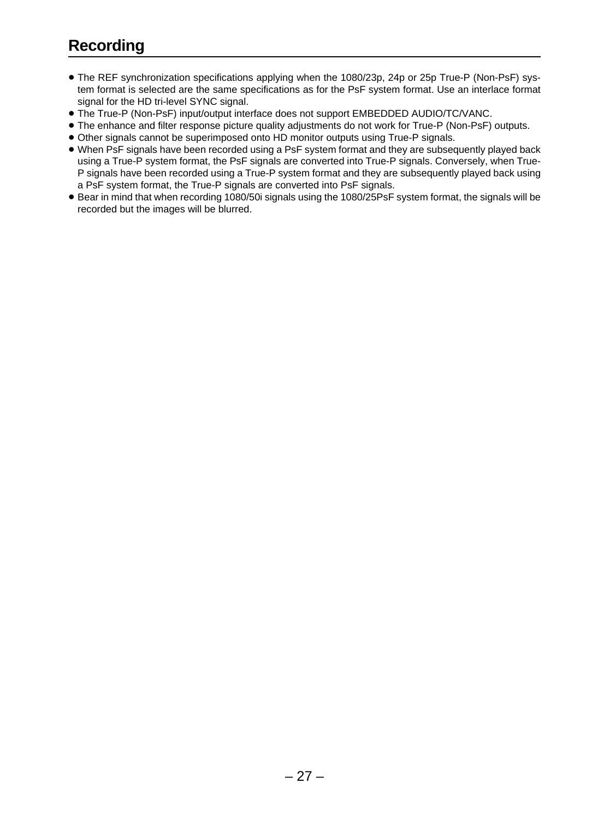# **Recording**

- ≥ The REF synchronization specifications applying when the 1080/23p, 24p or 25p True-P (Non-PsF) system format is selected are the same specifications as for the PsF system format. Use an interlace format signal for the HD tri-level SYNC signal.
- ≥ The True-P (Non-PsF) input/output interface does not support EMBEDDED AUDIO/TC/VANC.
- ≥ The enhance and filter response picture quality adjustments do not work for True-P (Non-PsF) outputs.
- Other signals cannot be superimposed onto HD monitor outputs using True-P signals.
- ≥ When PsF signals have been recorded using a PsF system format and they are subsequently played back using a True-P system format, the PsF signals are converted into True-P signals. Conversely, when True-P signals have been recorded using a True-P system format and they are subsequently played back using a PsF system format, the True-P signals are converted into PsF signals.
- ≥ Bear in mind that when recording 1080/50i signals using the 1080/25PsF system format, the signals will be recorded but the images will be blurred.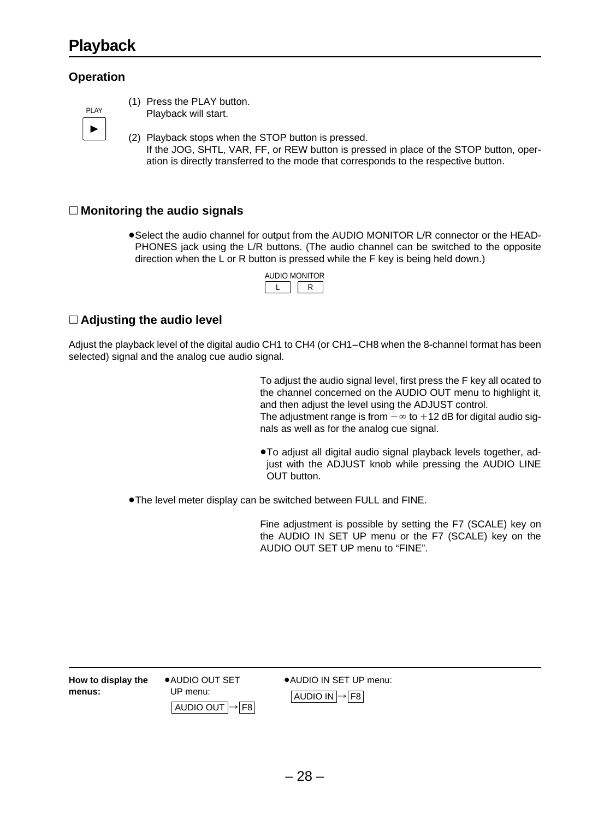# **Playback**

## **Operation**



(1) Press the PLAY button. Playback will start.

(2) Playback stops when the STOP button is pressed. If the JOG, SHTL, VAR, FF, or REW button is pressed in place of the STOP button, operation is directly transferred to the mode that corresponds to the respective button.

## ∑ **Monitoring the audio signals**

●Select the audio channel for output from the AUDIO MONITOR L/R connector or the HEAD-PHONES jack using the L/R buttons. (The audio channel can be switched to the opposite direction when the L or R button is pressed while the F key is being held down.)



## ∑ **Adjusting the audio level**

Adjust the playback level of the digital audio CH1 to CH4 (or CH1–CH8 when the 8-channel format has been selected) signal and the analog cue audio signal.

> To adjust the audio signal level, first press the F key all ocated to the channel concerned on the AUDIO OUT menu to highlight it, and then adjust the level using the ADJUST control. The adjustment range is from  $-\infty$  to  $+12$  dB for digital audio signals as well as for the analog cue signal.

> ≥To adjust all digital audio signal playback levels together, adjust with the ADJUST knob while pressing the AUDIO LINE OUT button.

≥The level meter display can be switched between FULL and FINE.

Fine adjustment is possible by setting the F7 (SCALE) key on the AUDIO IN SET UP menu or the F7 (SCALE) key on the AUDIO OUT SET UP menu to "FINE".

| How to display the | $\bullet$ AUDIO OUT SET    | ●AUDIO IN SET UP menu:        |  |
|--------------------|----------------------------|-------------------------------|--|
| menus:             | UP menu:                   | $ $ AUDIO IN $\rightarrow$ F8 |  |
|                    | $AUDIO OUT \rightarrow FB$ |                               |  |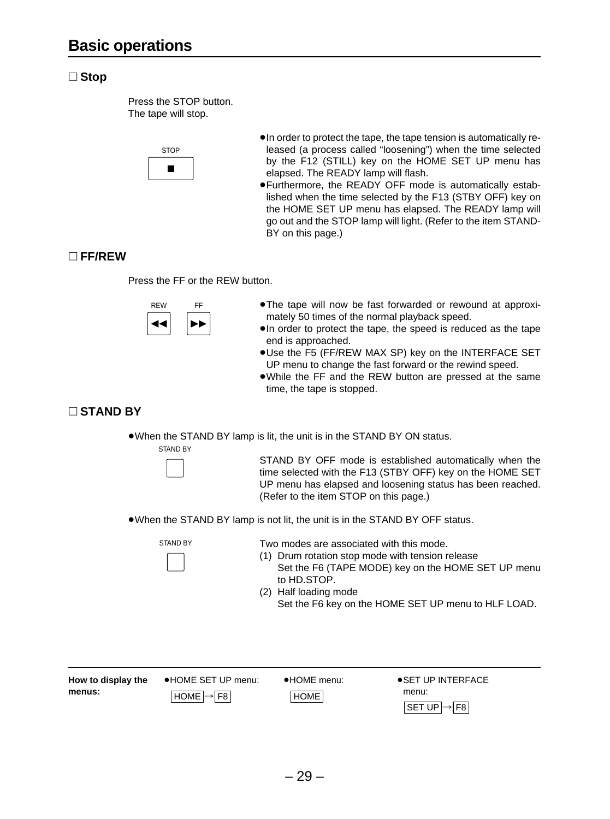## ∑ **Stop**

Press the STOP button. The tape will stop.

| STC<br>۱P |  |
|-----------|--|
|           |  |

- ≥In order to protect the tape, the tape tension is automatically released (a process called "loosening") when the time selected by the F12 (STILL) key on the HOME SET UP menu has elapsed. The READY lamp will flash.
- ●Furthermore, the READY OFF mode is automatically established when the time selected by the F13 (STBY OFF) key on the HOME SET UP menu has elapsed. The READY lamp will go out and the STOP lamp will light. (Refer to the item STAND-BY on this page.)

## ∑ **FF/REW**

Press the FF or the REW button.



- ≥The tape will now be fast forwarded or rewound at approximately 50 times of the normal playback speed.
- ≥In order to protect the tape, the speed is reduced as the tape end is approached.
- ●Use the F5 (FF/REW MAX SP) key on the INTERFACE SET UP menu to change the fast forward or the rewind speed.
- ≥While the FF and the REW button are pressed at the same time, the tape is stopped.

## ∑ **STAND BY**

≥When the STAND BY lamp is lit, the unit is in the STAND BY ON status.

STAND BY

STAND BY OFF mode is established automatically when the time selected with the F13 (STBY OFF) key on the HOME SET UP menu has elapsed and loosening status has been reached. (Refer to the item STOP on this page.)

≥When the STAND BY lamp is not lit, the unit is in the STAND BY OFF status.

| STAND | BY |
|-------|----|
|       |    |

Two modes are associated with this mode.

- (1) Drum rotation stop mode with tension release Set the F6 (TAPE MODE) key on the HOME SET UP menu to HD.STOP.
- (2) Half loading mode Set the F6 key on the HOME SET UP menu to HLF LOAD.

| How to display the | ●HOME SET UP menu:                | •HOME menu: | $\bullet$ SET UP INTERFACE           |
|--------------------|-----------------------------------|-------------|--------------------------------------|
| menus:             | $ $ HOME $  \rightarrow  $ F8 $ $ | <b>HOME</b> | menu:<br>$ SET UP  \rightarrow  F8 $ |
|                    |                                   |             |                                      |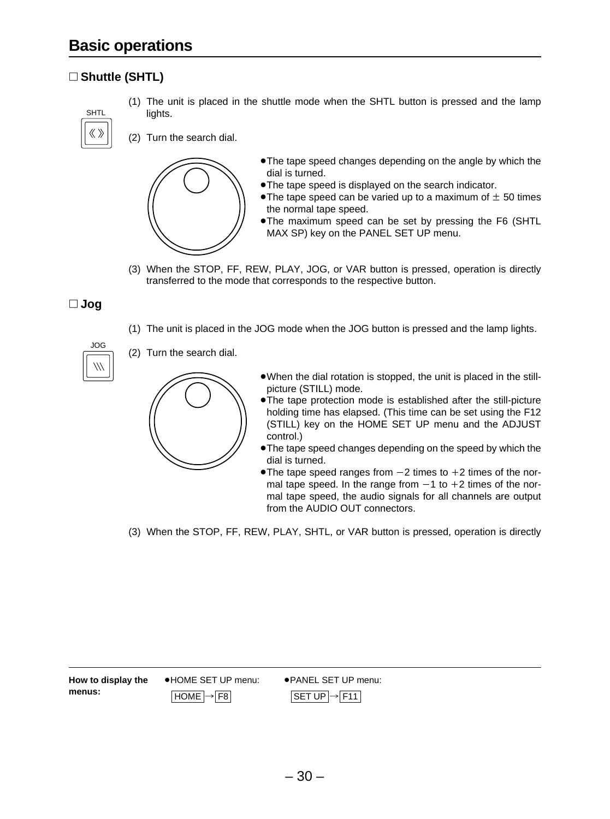## ∑ **Shuttle (SHTL)**



(1) The unit is placed in the shuttle mode when the SHTL button is pressed and the lamp lights.





- The tape speed changes depending on the angle by which the dial is turned.
- The tape speed is displayed on the search indicator.
- •The tape speed can be varied up to a maximum of  $\pm$  50 times the normal tape speed.
- ●The maximum speed can be set by pressing the F6 (SHTL MAX SP) key on the PANEL SET UP menu.
- (3) When the STOP, FF, REW, PLAY, JOG, or VAR button is pressed, operation is directly transferred to the mode that corresponds to the respective button.

## ∑ **Jog**

(1) The unit is placed in the JOG mode when the JOG button is pressed and the lamp lights.



(2) Turn the search dial.



- ●When the dial rotation is stopped, the unit is placed in the stillpicture (STILL) mode.
- The tape protection mode is established after the still-picture holding time has elapsed. (This time can be set using the F12 (STILL) key on the HOME SET UP menu and the ADJUST control.)
- The tape speed changes depending on the speed by which the dial is turned.
- •The tape speed ranges from  $-2$  times to  $+2$  times of the normal tape speed. In the range from  $-1$  to  $+2$  times of the normal tape speed, the audio signals for all channels are output from the AUDIO OUT connectors.
- (3) When the STOP, FF, REW, PLAY, SHTL, or VAR button is pressed, operation is directly

| How to display the | $\bullet$ HOME SET UP menu: | ●PANEL SET UP menu:                                        |  |
|--------------------|-----------------------------|------------------------------------------------------------|--|
| menus:             | $HOME \rightarrow F8$       | $\boxed{\mathsf{SET UP}} \rightarrow \boxed{\mathsf{F11}}$ |  |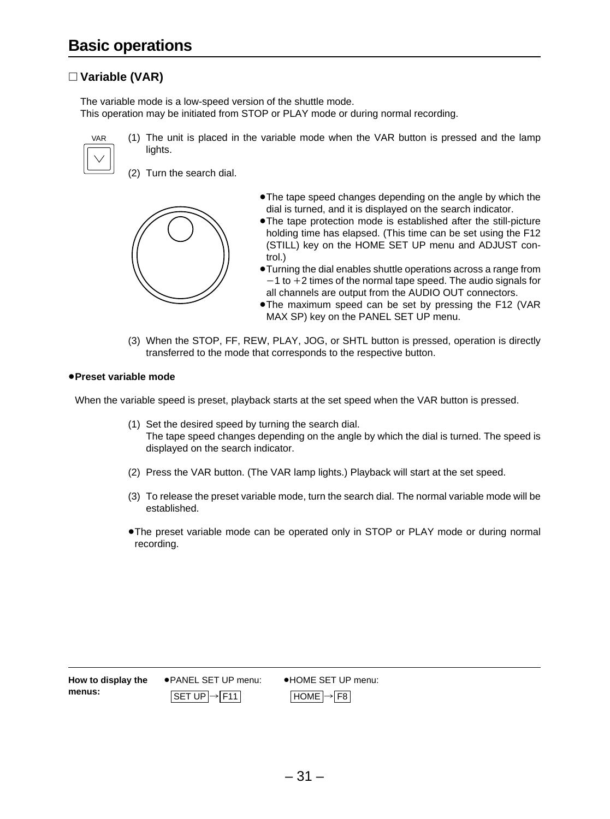## ∑ **Variable (VAR)**

The variable mode is a low-speed version of the shuttle mode. This operation may be initiated from STOP or PLAY mode or during normal recording.

| e<br>۷ |  |
|--------|--|
|        |  |

(1) The unit is placed in the variable mode when the VAR button is pressed and the lamp lights.

(2) Turn the search dial.



- The tape speed changes depending on the angle by which the dial is turned, and it is displayed on the search indicator.
- The tape protection mode is established after the still-picture holding time has elapsed. (This time can be set using the F12 (STILL) key on the HOME SET UP menu and ADJUST control.)
- ●Turning the dial enables shuttle operations across a range from  $-1$  to  $+2$  times of the normal tape speed. The audio signals for all channels are output from the AUDIO OUT connectors.
- The maximum speed can be set by pressing the F12 (VAR MAX SP) key on the PANEL SET UP menu.
- (3) When the STOP, FF, REW, PLAY, JOG, or SHTL button is pressed, operation is directly transferred to the mode that corresponds to the respective button.

#### ≥**Preset variable mode**

≥When the variable speed is preset, playback starts at the set speed when the VAR button is pressed.

- (1) Set the desired speed by turning the search dial. The tape speed changes depending on the angle by which the dial is turned. The speed is displayed on the search indicator.
- (2) Press the VAR button. (The VAR lamp lights.) Playback will start at the set speed.
- (3) To release the preset variable mode, turn the search dial. The normal variable mode will be established.
- ≥The preset variable mode can be operated only in STOP or PLAY mode or during normal recording.

| How to display the | $\bullet$ PANEL SET UP menu:                               | ●HOME SET UP menu:    |  |
|--------------------|------------------------------------------------------------|-----------------------|--|
| menus:             | $\boxed{\mathsf{SET UP}} \rightarrow \boxed{\mathsf{F11}}$ | $HOME \rightarrow F8$ |  |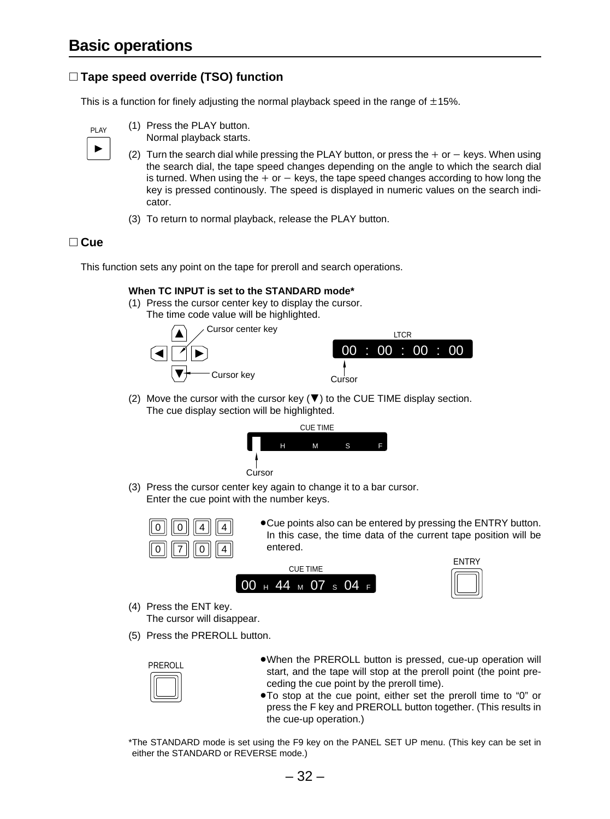## ∑ **Tape speed override (TSO) function**

This is a function for finely adjusting the normal playback speed in the range of  $\pm 15\%$ .

(1) Press the PLAY button. PLAY

Normal playback starts.

- (2) Turn the search dial while pressing the PLAY button, or press the  $+$  or  $-$  keys. When using the search dial, the tape speed changes depending on the angle to which the search dial is turned. When using the  $+$  or  $-$  keys, the tape speed changes according to how long the key is pressed continously. The speed is displayed in numeric values on the search indicator.
- (3) To return to normal playback, release the PLAY button.

#### ∑ **Cue**

This function sets any point on the tape for preroll and search operations.

#### **When TC INPUT is set to the STANDARD mode\***

(1) Press the cursor center key to display the cursor. The time code value will be highlighted.



(2) Move the cursor with the cursor key  $(\nabla)$  to the CUE TIME display section. The cue display section will be highlighted.



(3) Press the cursor center key again to change it to a bar cursor. Enter the cue point with the number keys.

| $\boxed{0}$ $\boxed{0}$ $\boxed{4}$ $\boxed{4}$                                                                                                                                                                                                          |  |
|----------------------------------------------------------------------------------------------------------------------------------------------------------------------------------------------------------------------------------------------------------|--|
| $\begin{tabular}{ c c c c } \hline \hline \quad \quad & \quad \quad & \quad \quad & \quad \quad \\ \hline \quad \quad & \quad \quad & \quad \quad & \quad \quad \\ \hline \quad \quad & \quad \quad & \quad \quad & \quad \quad \\ \hline \end{tabular}$ |  |

●Cue points also can be entered by pressing the ENTRY button. In this case, the time data of the current tape position will be entered.





(4) Press the ENT key. The cursor will disappear.

(5) Press the PREROLL button.



- ●When the PREROLL button is pressed, cue-up operation will start, and the tape will stop at the preroll point (the point preceding the cue point by the preroll time).
- ≥To stop at the cue point, either set the preroll time to "0" or press the F key and PREROLL button together. (This results in the cue-up operation.)

\*The STANDARD mode is set using the F9 key on the PANEL SET UP menu. (This key can be set in either the STANDARD or REVERSE mode.)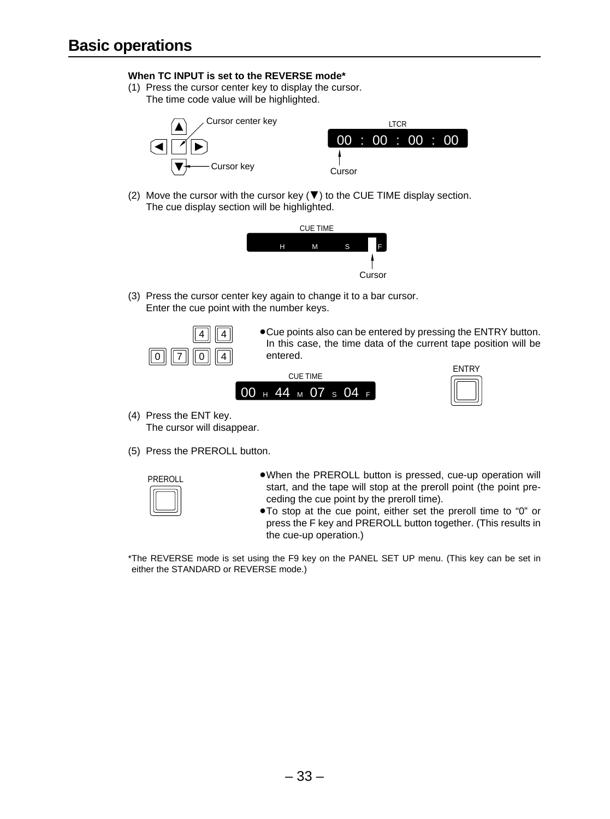#### **When TC INPUT is set to the REVERSE mode\***

(1) Press the cursor center key to display the cursor. The time code value will be highlighted.



(2) Move the cursor with the cursor key  $(\nabla)$  to the CUE TIME display section. The cue display section will be highlighted.



(3) Press the cursor center key again to change it to a bar cursor. Enter the cue point with the number keys.

| $\sqrt{4}$<br>$\overline{0}$ |
|------------------------------|

●Cue points also can be entered by pressing the ENTRY button. In this case, the time data of the current tape position will be entered.





(4) Press the ENT key. The cursor will disappear.

(5) Press the PREROLL button.



- ≥When the PREROLL button is pressed, cue-up operation will start, and the tape will stop at the preroll point (the point preceding the cue point by the preroll time).
- ≥To stop at the cue point, either set the preroll time to "0" or press the F key and PREROLL button together. (This results in the cue-up operation.)

\*The REVERSE mode is set using the F9 key on the PANEL SET UP menu. (This key can be set in either the STANDARD or REVERSE mode.)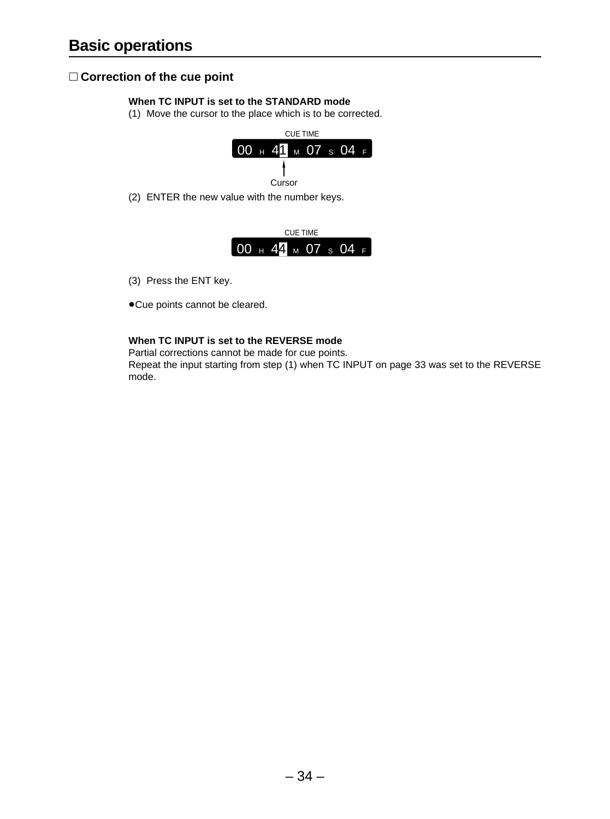## ∑ **Correction of the cue point**

### **When TC INPUT is set to the STANDARD mode**

(1) Move the cursor to the place which is to be corrected.



(2) ENTER the new value with the number keys.



- (3) Press the ENT key.
- ≥Cue points cannot be cleared.

## **When TC INPUT is set to the REVERSE mode**

Partial corrections cannot be made for cue points. Repeat the input starting from step (1) when TC INPUT on page 33 was set to the REVERSE mode.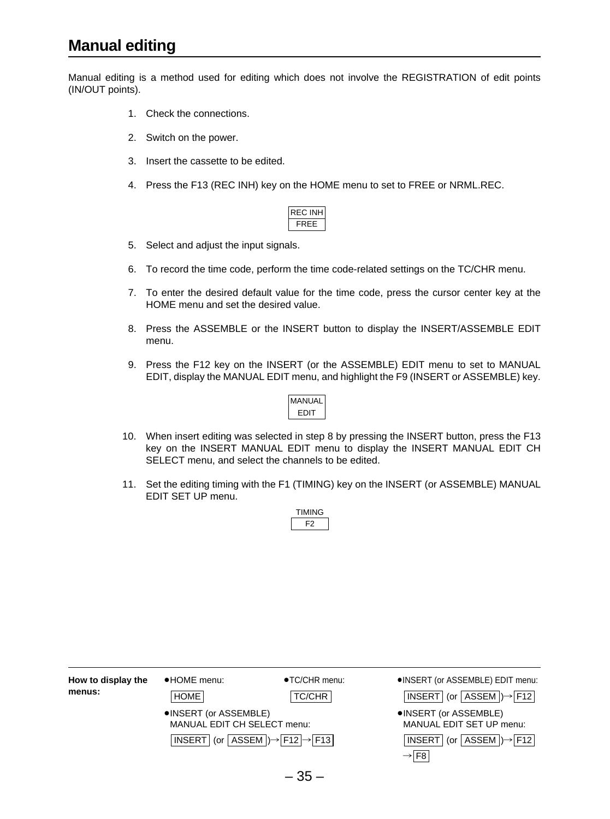# **Manual editing**

Manual editing is a method used for editing which does not involve the REGISTRATION of edit points (IN/OUT points).

- 1. Check the connections.
- 2. Switch on the power.
- 3. Insert the cassette to be edited.
- 4. Press the F13 (REC INH) key on the HOME menu to set to FREE or NRML.REC.

| REC INH |
|---------|
| ドトト     |

- 5. Select and adjust the input signals.
- 6. To record the time code, perform the time code-related settings on the TC/CHR menu.
- 7. To enter the desired default value for the time code, press the cursor center key at the HOME menu and set the desired value.
- 8. Press the ASSEMBLE or the INSERT button to display the INSERT/ASSEMBLE EDIT menu.
- 9. Press the F12 key on the INSERT (or the ASSEMBLE) EDIT menu to set to MANUAL EDIT, display the MANUAL EDIT menu, and highlight the F9 (INSERT or ASSEMBLE) key.



- 10. When insert editing was selected in step 8 by pressing the INSERT button, press the F13 key on the INSERT MANUAL EDIT menu to display the INSERT MANUAL EDIT CH SELECT menu, and select the channels to be edited.
- 11. Set the editing timing with the F1 (TIMING) key on the INSERT (or ASSEMBLE) MANUAL EDIT SET UP menu.

| How to display the<br>menus: | •HOME menu:<br><b>HOME</b>                                                     | $\bullet$ TC/CHR menu:<br>TC/CHR | •INSERT (or ASSEMBLE) EDIT menu:<br>(or $ $ ASSEM $ $ )→ $ $ F12 $ $<br>IINSERT I |
|------------------------------|--------------------------------------------------------------------------------|----------------------------------|-----------------------------------------------------------------------------------|
|                              | ●INSERT (or ASSEMBLE)<br>MANUAL EDIT CH SELECT menu:                           |                                  | ●INSERT (or ASSEMBLE)<br>MANUAL EDIT SET UP menu:                                 |
|                              | $ $ INSERT $ $ (or $ $ ASSEM $ $ ) $\rightarrow$ F12 $ $ $\rightarrow$ F13 $ $ |                                  | (or $ $ ASSEM $ $ ) $\rightarrow$ F12<br>IINSERT                                  |
|                              |                                                                                |                                  | $\rightarrow$ F <sub>8</sub>                                                      |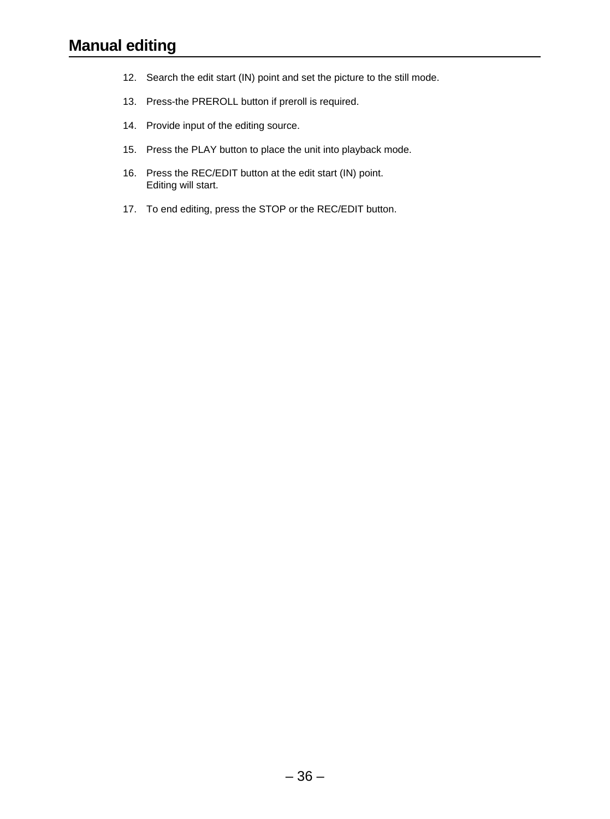- 12. Search the edit start (IN) point and set the picture to the still mode.
- 13. Press-the PREROLL button if preroll is required.
- 14. Provide input of the editing source.
- 15. Press the PLAY button to place the unit into playback mode.
- 16. Press the REC/EDIT button at the edit start (IN) point. Editing will start.
- 17. To end editing, press the STOP or the REC/EDIT button.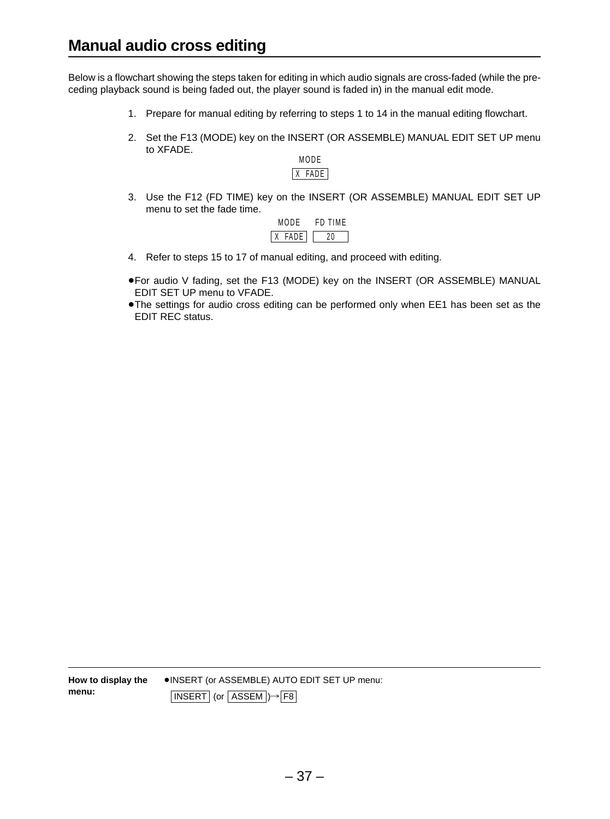Below is a flowchart showing the steps taken for editing in which audio signals are cross-faded (while the preceding playback sound is being faded out, the player sound is faded in) in the manual edit mode.

- 1. Prepare for manual editing by referring to steps 1 to 14 in the manual editing flowchart.
- 2. Set the F13 (MODE) key on the INSERT (OR ASSEMBLE) MANUAL EDIT SET UP menu to XFADE.



3. Use the F12 (FD TIME) key on the INSERT (OR ASSEMBLE) MANUAL EDIT SET UP menu to set the fade time.

X FADE MODE 2 0 FD TIME

- 4. Refer to steps 15 to 17 of manual editing, and proceed with editing.
- ≥For audio V fading, set the F13 (MODE) key on the INSERT (OR ASSEMBLE) MANUAL EDIT SET UP menu to VFADE.
- ≥The settings for audio cross editing can be performed only when EE1 has been set as the EDIT REC status.

How to display the ●INSERT (or ASSEMBLE) AUTO EDIT SET UP menu: **menu:** INSERT (or  $\overline{ASSEM}$ )  $\rightarrow$  F8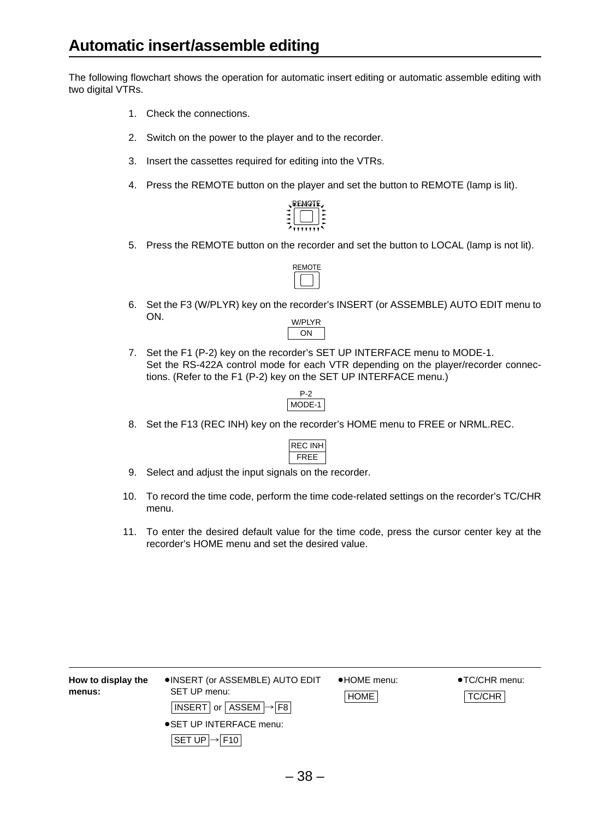The following flowchart shows the operation for automatic insert editing or automatic assemble editing with two digital VTRs.

- 1. Check the connections.
- 2. Switch on the power to the player and to the recorder.
- 3. Insert the cassettes required for editing into the VTRs.
- 4. Press the REMOTE button on the player and set the button to REMOTE (lamp is lit).



5. Press the REMOTE button on the recorder and set the button to LOCAL (lamp is not lit).



6. Set the F3 (W/PLYR) key on the recorder's INSERT (or ASSEMBLE) AUTO EDIT menu to ON.



7. Set the F1 (P-2) key on the recorder's SET UP INTERFACE menu to MODE-1. Set the RS-422A control mode for each VTR depending on the player/recorder connections. (Refer to the F1 (P-2) key on the SET UP INTERFACE menu.)



8. Set the F13 (REC INH) key on the recorder's HOME menu to FREE or NRML.REC.

| ٠ |  |
|---|--|
|   |  |

- 9. Select and adjust the input signals on the recorder.
- 10. To record the time code, perform the time code-related settings on the recorder's TC/CHR menu.
- 11. To enter the desired default value for the time code, press the cursor center key at the recorder's HOME menu and set the desired value.

| How to display the<br>menus: | ●INSERT (or ASSEMBLE) AUTO EDIT<br>SET UP menu:<br>$ NSERT $ or $ ASSEM \rightarrow F8 $ | •HOME menu:<br>HOME | $\bullet$ TC/CHR menu:<br>TC/CHR |
|------------------------------|------------------------------------------------------------------------------------------|---------------------|----------------------------------|
|                              | ● SET UP INTERFACE menu:<br>$ \texttt{SET UP}  \rightarrow  \texttt{F10} $               |                     |                                  |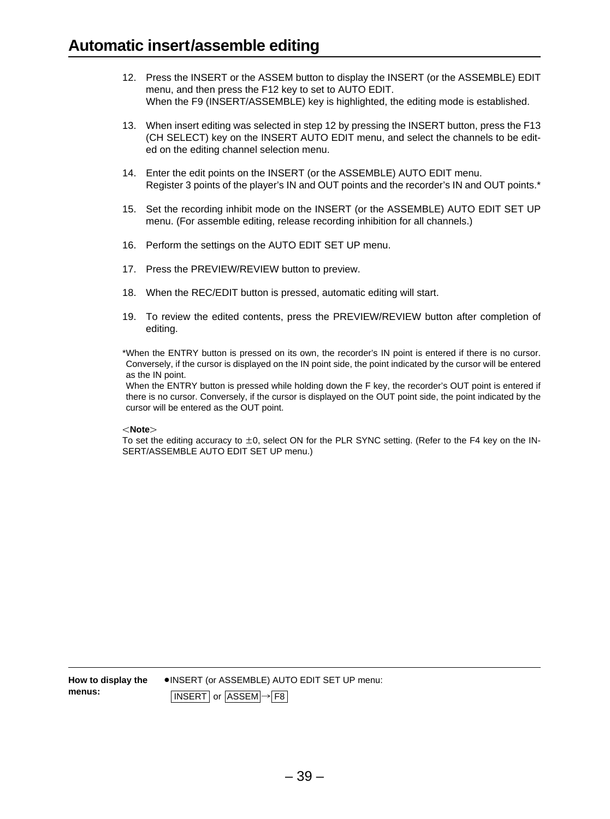- 12. Press the INSERT or the ASSEM button to display the INSERT (or the ASSEMBLE) EDIT menu, and then press the F12 key to set to AUTO EDIT. When the F9 (INSERT/ASSEMBLE) key is highlighted, the editing mode is established.
- 13. When insert editing was selected in step 12 by pressing the INSERT button, press the F13 (CH SELECT) key on the INSERT AUTO EDIT menu, and select the channels to be edited on the editing channel selection menu.
- 14. Enter the edit points on the INSERT (or the ASSEMBLE) AUTO EDIT menu. Register 3 points of the player's IN and OUT points and the recorder's IN and OUT points.\*
- 15. Set the recording inhibit mode on the INSERT (or the ASSEMBLE) AUTO EDIT SET UP menu. (For assemble editing, release recording inhibition for all channels.)
- 16. Perform the settings on the AUTO EDIT SET UP menu.
- 17. Press the PREVIEW/REVIEW button to preview.
- 18. When the REC/EDIT button is pressed, automatic editing will start.
- 19. To review the edited contents, press the PREVIEW/REVIEW button after completion of editing.

\*When the ENTRY button is pressed on its own, the recorder's IN point is entered if there is no cursor. Conversely, if the cursor is displayed on the IN point side, the point indicated by the cursor will be entered as the IN point.

When the ENTRY button is pressed while holding down the F key, the recorder's OUT point is entered if there is no cursor. Conversely, if the cursor is displayed on the OUT point side, the point indicated by the cursor will be entered as the OUT point.

#### $<$ **Note** $>$

To set the editing accuracy to  $\pm$ 0, select ON for the PLR SYNC setting. (Refer to the F4 key on the IN-SERT/ASSEMBLE AUTO EDIT SET UP menu.)

**How to display the ●INSERT (or ASSEMBLE) AUTO EDIT SET UP menu: menus:** INSERT or ASSEM→ F8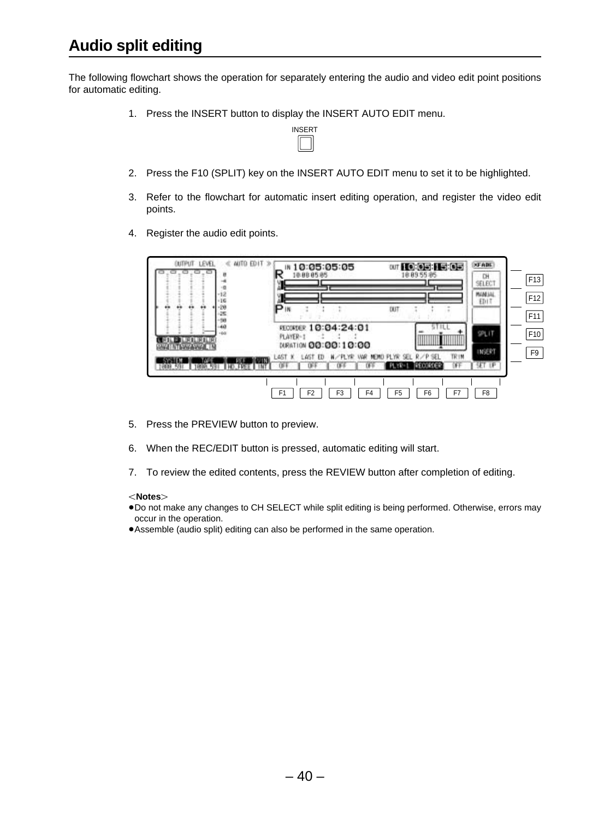# **Audio split editing**

The following flowchart shows the operation for separately entering the audio and video edit point positions for automatic editing.

1. Press the INSERT button to display the INSERT AUTO EDIT menu.



- 2. Press the F10 (SPLIT) key on the INSERT AUTO EDIT menu to set it to be highlighted.
- 3. Refer to the flowchart for automatic insert editing operation, and register the video edit points.
- 4. Register the audio edit points.



- 5. Press the PREVIEW button to preview.
- 6. When the REC/EDIT button is pressed, automatic editing will start.
- 7. To review the edited contents, press the REVIEW button after completion of editing.

#### <Notes>

- ≥Do not make any changes to CH SELECT while split editing is being performed. Otherwise, errors may occur in the operation.
- ≥Assemble (audio split) editing can also be performed in the same operation.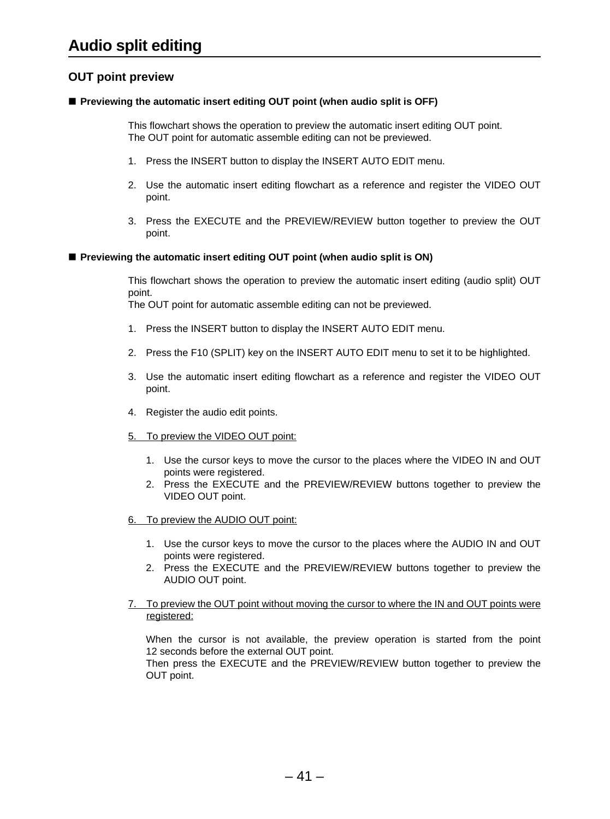## **OUT point preview**

#### ■ Previewing the automatic insert editing OUT point (when audio split is OFF)

This flowchart shows the operation to preview the automatic insert editing OUT point. The OUT point for automatic assemble editing can not be previewed.

- 1. Press the INSERT button to display the INSERT AUTO EDIT menu.
- 2. Use the automatic insert editing flowchart as a reference and register the VIDEO OUT point.
- 3. Press the EXECUTE and the PREVIEW/REVIEW button together to preview the OUT point.

#### ■ Previewing the automatic insert editing OUT point (when audio split is ON)

This flowchart shows the operation to preview the automatic insert editing (audio split) OUT point.

The OUT point for automatic assemble editing can not be previewed.

- 1. Press the INSERT button to display the INSERT AUTO EDIT menu.
- 2. Press the F10 (SPLIT) key on the INSERT AUTO EDIT menu to set it to be highlighted.
- 3. Use the automatic insert editing flowchart as a reference and register the VIDEO OUT point.
- 4. Register the audio edit points.
- 5. To preview the VIDEO OUT point:
	- 1. Use the cursor keys to move the cursor to the places where the VIDEO IN and OUT points were registered.
	- 2. Press the EXECUTE and the PREVIEW/REVIEW buttons together to preview the VIDEO OUT point.
- 6. To preview the AUDIO OUT point:
	- 1. Use the cursor keys to move the cursor to the places where the AUDIO IN and OUT points were registered.
	- 2. Press the EXECUTE and the PREVIEW/REVIEW buttons together to preview the AUDIO OUT point.
- 7. To preview the OUT point without moving the cursor to where the IN and OUT points were registered:

When the cursor is not available, the preview operation is started from the point 12 seconds before the external OUT point.

Then press the EXECUTE and the PREVIEW/REVIEW button together to preview the OUT point.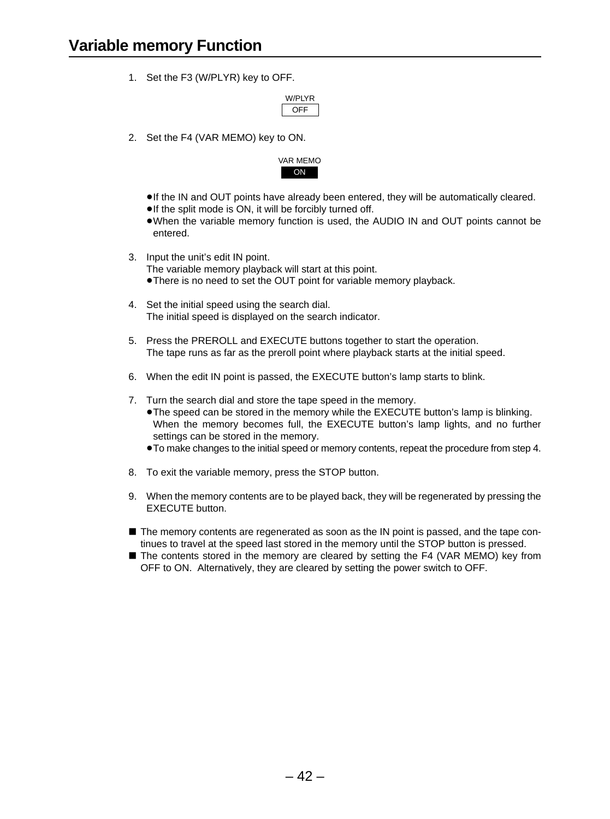1. Set the F3 (W/PLYR) key to OFF.



2. Set the F4 (VAR MEMO) key to ON.



- ≥If the IN and OUT points have already been entered, they will be automatically cleared.
- ●If the split mode is ON, it will be forcibly turned off.
- ≥When the variable memory function is used, the AUDIO IN and OUT points cannot be entered.
- 3. Input the unit's edit IN point.
	- The variable memory playback will start at this point.
	- There is no need to set the OUT point for variable memory playback.
- 4. Set the initial speed using the search dial. The initial speed is displayed on the search indicator.
- 5. Press the PREROLL and EXECUTE buttons together to start the operation. The tape runs as far as the preroll point where playback starts at the initial speed.
- 6. When the edit IN point is passed, the EXECUTE button's lamp starts to blink.
- 7. Turn the search dial and store the tape speed in the memory.
	- ≥The speed can be stored in the memory while the EXECUTE button's lamp is blinking. When the memory becomes full, the EXECUTE button's lamp lights, and no further settings can be stored in the memory.
	- ≥To make changes to the initial speed or memory contents, repeat the procedure from step 4.
- 8. To exit the variable memory, press the STOP button.
- 9. When the memory contents are to be played back, they will be regenerated by pressing the EXECUTE button.
- The memory contents are regenerated as soon as the IN point is passed, and the tape continues to travel at the speed last stored in the memory until the STOP button is pressed.
- The contents stored in the memory are cleared by setting the F4 (VAR MEMO) key from OFF to ON. Alternatively, they are cleared by setting the power switch to OFF.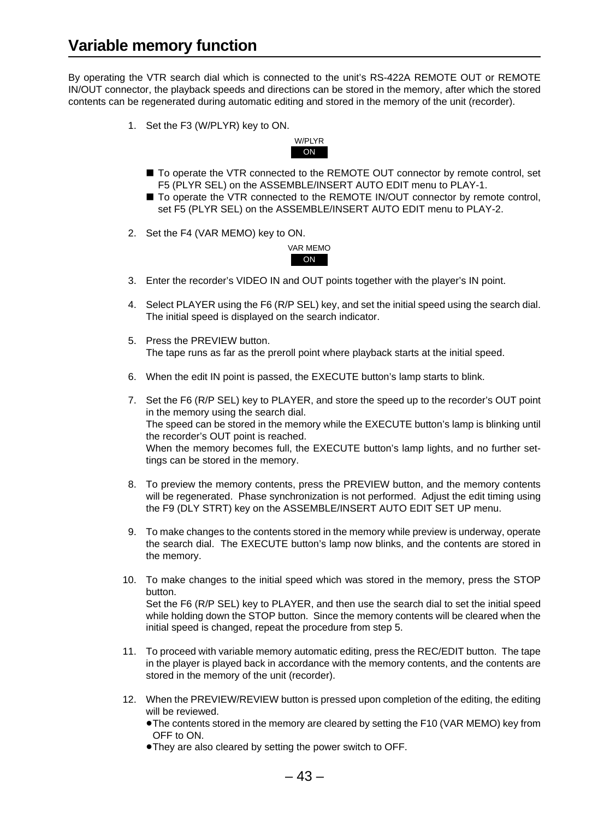By operating the VTR search dial which is connected to the unit's RS-422A REMOTE OUT or REMOTE IN/OUT connector, the playback speeds and directions can be stored in the memory, after which the stored contents can be regenerated during automatic editing and stored in the memory of the unit (recorder).

1. Set the F3 (W/PLYR) key to ON.

#### ON W/PLYR

- To operate the VTR connected to the REMOTE OUT connector by remote control, set F5 (PLYR SEL) on the ASSEMBLE/INSERT AUTO EDIT menu to PLAY-1.
- To operate the VTR connected to the REMOTE IN/OUT connector by remote control, set F5 (PLYR SEL) on the ASSEMBLE/INSERT AUTO EDIT menu to PLAY-2.
- 2. Set the F4 (VAR MEMO) key to ON.



- 3. Enter the recorder's VIDEO IN and OUT points together with the player's IN point.
- 4. Select PLAYER using the F6 (R/P SEL) key, and set the initial speed using the search dial. The initial speed is displayed on the search indicator.
- 5. Press the PREVIEW button. The tape runs as far as the preroll point where playback starts at the initial speed.
- 6. When the edit IN point is passed, the EXECUTE button's lamp starts to blink.
- 7. Set the F6 (R/P SEL) key to PLAYER, and store the speed up to the recorder's OUT point in the memory using the search dial. The speed can be stored in the memory while the EXECUTE button's lamp is blinking until the recorder's OUT point is reached. When the memory becomes full, the EXECUTE button's lamp lights, and no further settings can be stored in the memory.
- 8. To preview the memory contents, press the PREVIEW button, and the memory contents will be regenerated. Phase synchronization is not performed. Adjust the edit timing using the F9 (DLY STRT) key on the ASSEMBLE/INSERT AUTO EDIT SET UP menu.
- 9. To make changes to the contents stored in the memory while preview is underway, operate the search dial. The EXECUTE button's lamp now blinks, and the contents are stored in the memory.
- 10. To make changes to the initial speed which was stored in the memory, press the STOP button. Set the F6 (R/P SEL) key to PLAYER, and then use the search dial to set the initial speed while holding down the STOP button. Since the memory contents will be cleared when the initial speed is changed, repeat the procedure from step 5.
- 11. To proceed with variable memory automatic editing, press the REC/EDIT button. The tape in the player is played back in accordance with the memory contents, and the contents are stored in the memory of the unit (recorder).
- 12. When the PREVIEW/REVIEW button is pressed upon completion of the editing, the editing will be reviewed.
	- ≥The contents stored in the memory are cleared by setting the F10 (VAR MEMO) key from OFF to ON.
	- They are also cleared by setting the power switch to OFF.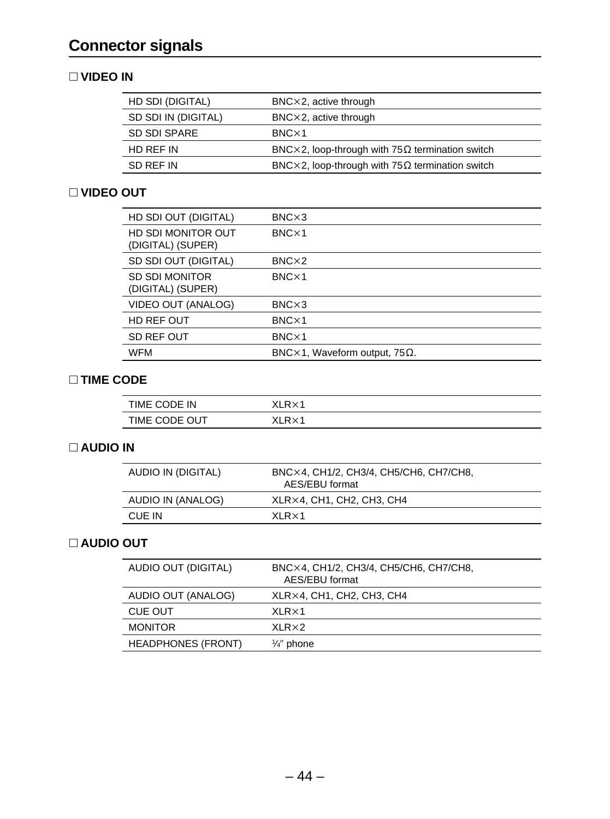## ∑ **VIDEO IN**

| HD SDI (DIGITAL)    | $BNC \times 2$ , active through                                  |
|---------------------|------------------------------------------------------------------|
| SD SDI IN (DIGITAL) | $BNC \times 2$ , active through                                  |
| <b>SD SDI SPARE</b> | $BNC \times 1$                                                   |
| HD REF IN           | BNC $\times$ 2, loop-through with 75 $\Omega$ termination switch |
| SD REF IN           | BNC $\times$ 2, loop-through with 75 $\Omega$ termination switch |

## ∑ **VIDEO OUT**

| HD SDI OUT (DIGITAL)                       | $BNC \times 3$                                 |
|--------------------------------------------|------------------------------------------------|
| HD SDI MONITOR OUT<br>(DIGITAL) (SUPER)    | $BNC \times 1$                                 |
| SD SDI OUT (DIGITAL)                       | $BNC \times 2$                                 |
| <b>SD SDI MONITOR</b><br>(DIGITAL) (SUPER) | $BNC \times 1$                                 |
| VIDEO OUT (ANALOG)                         | $BNC \times 3$                                 |
| HD REF OUT                                 | $BNC \times 1$                                 |
| SD REF OUT                                 | $BNC\times1$                                   |
| <b>WFM</b>                                 | BNC $\times$ 1, Waveform output, 75 $\Omega$ . |

## ∑ **TIME CODE**

| TIME CODE IN  | <code>XLR<math>\times</math>1</code> |  |
|---------------|--------------------------------------|--|
| TIME CODE OUT | <code>XLR<math>\times</math>1</code> |  |

## ∑ **AUDIO IN**

| AUDIO IN (DIGITAL) | $BNC \times 4$ , CH1/2, CH3/4, CH5/CH6, CH7/CH8,<br>AES/EBU format |
|--------------------|--------------------------------------------------------------------|
| AUDIO IN (ANALOG)  | $XLR \times 4$ , CH1, CH2, CH3, CH4                                |
| CUE IN             | $XLR \times 1$                                                     |

# ∑ **AUDIO OUT**

| AUDIO OUT (DIGITAL)       | $BNC \times 4$ , CH1/2, CH3/4, CH5/CH6, CH7/CH8,<br>AES/EBU format |
|---------------------------|--------------------------------------------------------------------|
| AUDIO OUT (ANALOG)        | $XLR \times 4$ , CH1, CH2, CH3, CH4                                |
| CUE OUT                   | $XLR \times 1$                                                     |
| <b>MONITOR</b>            | $XLR \times 2$                                                     |
| <b>HEADPHONES (FRONT)</b> | $\frac{1}{4}$ phone                                                |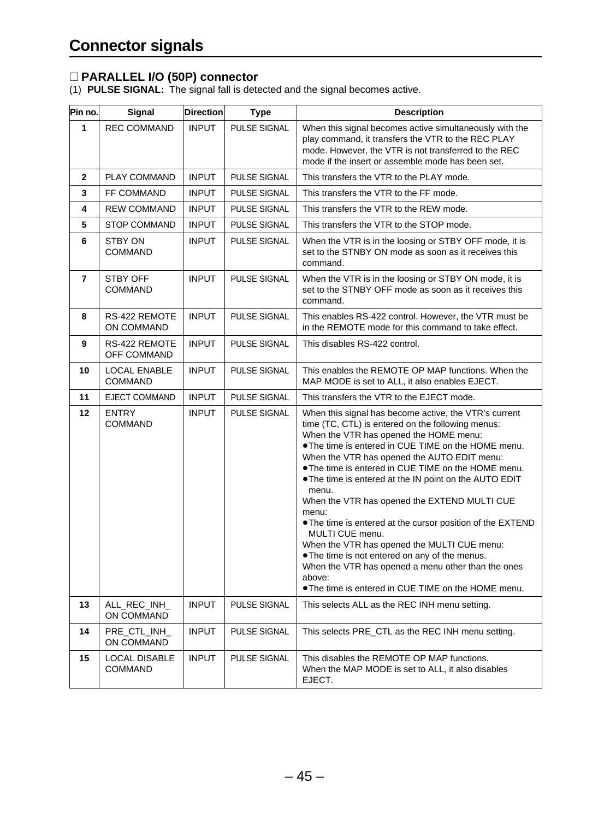## ∑ **PARALLEL I/O (50P) connector**

(1) **PULSE SIGNAL:** The signal fall is detected and the signal becomes active.

| Pin no.      | <b>Signal</b>                          | Direction    | <b>Type</b>         | <b>Description</b>                                                                                                                                                                                                                                                                                                                                                                                                                                                                                                                                                                                                                                                                                                                                     |
|--------------|----------------------------------------|--------------|---------------------|--------------------------------------------------------------------------------------------------------------------------------------------------------------------------------------------------------------------------------------------------------------------------------------------------------------------------------------------------------------------------------------------------------------------------------------------------------------------------------------------------------------------------------------------------------------------------------------------------------------------------------------------------------------------------------------------------------------------------------------------------------|
| 1            | <b>REC COMMAND</b>                     | <b>INPUT</b> | PULSE SIGNAL        | When this signal becomes active simultaneously with the<br>play command, it transfers the VTR to the REC PLAY<br>mode. However, the VTR is not transferred to the REC<br>mode if the insert or assemble mode has been set.                                                                                                                                                                                                                                                                                                                                                                                                                                                                                                                             |
| $\mathbf{2}$ | <b>PLAY COMMAND</b>                    | <b>INPUT</b> | <b>PULSE SIGNAL</b> | This transfers the VTR to the PLAY mode.                                                                                                                                                                                                                                                                                                                                                                                                                                                                                                                                                                                                                                                                                                               |
| 3            | FF COMMAND                             | <b>INPUT</b> | <b>PULSE SIGNAL</b> | This transfers the VTR to the FF mode.                                                                                                                                                                                                                                                                                                                                                                                                                                                                                                                                                                                                                                                                                                                 |
| 4            | <b>REW COMMAND</b>                     | <b>INPUT</b> | PULSE SIGNAL        | This transfers the VTR to the REW mode.                                                                                                                                                                                                                                                                                                                                                                                                                                                                                                                                                                                                                                                                                                                |
| 5            | <b>STOP COMMAND</b>                    | <b>INPUT</b> | <b>PULSE SIGNAL</b> | This transfers the VTR to the STOP mode.                                                                                                                                                                                                                                                                                                                                                                                                                                                                                                                                                                                                                                                                                                               |
| 6            | STBY ON<br><b>COMMAND</b>              | <b>INPUT</b> | PULSE SIGNAL        | When the VTR is in the loosing or STBY OFF mode, it is<br>set to the STNBY ON mode as soon as it receives this<br>command.                                                                                                                                                                                                                                                                                                                                                                                                                                                                                                                                                                                                                             |
| 7            | <b>STBY OFF</b><br><b>COMMAND</b>      | <b>INPUT</b> | PULSE SIGNAL        | When the VTR is in the loosing or STBY ON mode, it is<br>set to the STNBY OFF mode as soon as it receives this<br>command.                                                                                                                                                                                                                                                                                                                                                                                                                                                                                                                                                                                                                             |
| 8            | RS-422 REMOTE<br>ON COMMAND            | <b>INPUT</b> | PULSE SIGNAL        | This enables RS-422 control. However, the VTR must be<br>in the REMOTE mode for this command to take effect.                                                                                                                                                                                                                                                                                                                                                                                                                                                                                                                                                                                                                                           |
| 9            | RS-422 REMOTE<br>OFF COMMAND           | <b>INPUT</b> | PULSE SIGNAL        | This disables RS-422 control.                                                                                                                                                                                                                                                                                                                                                                                                                                                                                                                                                                                                                                                                                                                          |
| 10           | <b>LOCAL ENABLE</b><br><b>COMMAND</b>  | <b>INPUT</b> | PULSE SIGNAL        | This enables the REMOTE OP MAP functions. When the<br>MAP MODE is set to ALL, it also enables EJECT.                                                                                                                                                                                                                                                                                                                                                                                                                                                                                                                                                                                                                                                   |
| 11           | EJECT COMMAND                          | <b>INPUT</b> | PULSE SIGNAL        | This transfers the VTR to the EJECT mode.                                                                                                                                                                                                                                                                                                                                                                                                                                                                                                                                                                                                                                                                                                              |
| 12           | <b>ENTRY</b><br><b>COMMAND</b>         | <b>INPUT</b> | PULSE SIGNAL        | When this signal has become active, the VTR's current<br>time (TC, CTL) is entered on the following menus:<br>When the VTR has opened the HOME menu:<br>. The time is entered in CUE TIME on the HOME menu.<br>When the VTR has opened the AUTO EDIT menu:<br>. The time is entered in CUE TIME on the HOME menu.<br>. The time is entered at the IN point on the AUTO EDIT<br>menu.<br>When the VTR has opened the EXTEND MULTI CUE<br>menu:<br>. The time is entered at the cursor position of the EXTEND<br>MULTI CUE menu.<br>When the VTR has opened the MULTI CUE menu:<br>. The time is not entered on any of the menus.<br>When the VTR has opened a menu other than the ones<br>above:<br>. The time is entered in CUE TIME on the HOME menu. |
| 13           | ALL_REC_INH_<br>ON COMMAND             | <b>INPUT</b> | PULSE SIGNAL        | This selects ALL as the REC INH menu setting.                                                                                                                                                                                                                                                                                                                                                                                                                                                                                                                                                                                                                                                                                                          |
| 14           | PRE_CTL_INH_<br>ON COMMAND             | <b>INPUT</b> | PULSE SIGNAL        | This selects PRE_CTL as the REC INH menu setting.                                                                                                                                                                                                                                                                                                                                                                                                                                                                                                                                                                                                                                                                                                      |
| 15           | <b>LOCAL DISABLE</b><br><b>COMMAND</b> | <b>INPUT</b> | PULSE SIGNAL        | This disables the REMOTE OP MAP functions.<br>When the MAP MODE is set to ALL, it also disables<br>EJECT.                                                                                                                                                                                                                                                                                                                                                                                                                                                                                                                                                                                                                                              |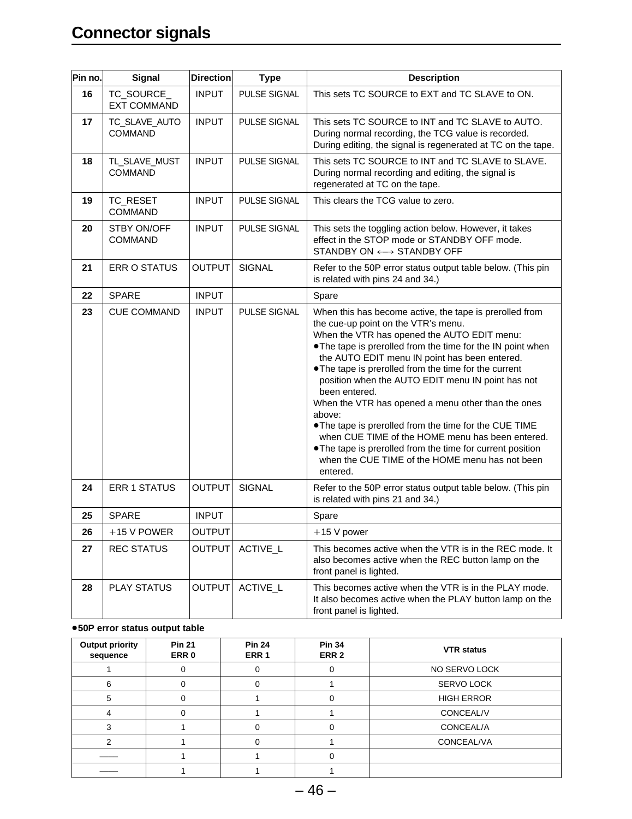| Pin no. | <b>Signal</b>                    | Direction     | <b>Type</b>   | <b>Description</b>                                                                                                                                                                                                                                                                                                                                                                                                                                                                                                                                                                                                                                                                                      |  |
|---------|----------------------------------|---------------|---------------|---------------------------------------------------------------------------------------------------------------------------------------------------------------------------------------------------------------------------------------------------------------------------------------------------------------------------------------------------------------------------------------------------------------------------------------------------------------------------------------------------------------------------------------------------------------------------------------------------------------------------------------------------------------------------------------------------------|--|
| 16      | TC_SOURCE_<br><b>EXT COMMAND</b> | <b>INPUT</b>  | PULSE SIGNAL  | This sets TC SOURCE to EXT and TC SLAVE to ON.                                                                                                                                                                                                                                                                                                                                                                                                                                                                                                                                                                                                                                                          |  |
| 17      | TC_SLAVE_AUTO<br><b>COMMAND</b>  | <b>INPUT</b>  | PULSE SIGNAL  | This sets TC SOURCE to INT and TC SLAVE to AUTO.<br>During normal recording, the TCG value is recorded.<br>During editing, the signal is regenerated at TC on the tape.                                                                                                                                                                                                                                                                                                                                                                                                                                                                                                                                 |  |
| 18      | TL_SLAVE_MUST<br><b>COMMAND</b>  | <b>INPUT</b>  | PULSE SIGNAL  | This sets TC SOURCE to INT and TC SLAVE to SLAVE.<br>During normal recording and editing, the signal is<br>regenerated at TC on the tape.                                                                                                                                                                                                                                                                                                                                                                                                                                                                                                                                                               |  |
| 19      | TC_RESET<br><b>COMMAND</b>       | <b>INPUT</b>  | PULSE SIGNAL  | This clears the TCG value to zero.                                                                                                                                                                                                                                                                                                                                                                                                                                                                                                                                                                                                                                                                      |  |
| 20      | STBY ON/OFF<br><b>COMMAND</b>    | <b>INPUT</b>  | PULSE SIGNAL  | This sets the toggling action below. However, it takes<br>effect in the STOP mode or STANDBY OFF mode.<br>STANDBY ON ←→ STANDBY OFF                                                                                                                                                                                                                                                                                                                                                                                                                                                                                                                                                                     |  |
| 21      | <b>ERR O STATUS</b>              | <b>OUTPUT</b> | <b>SIGNAL</b> | Refer to the 50P error status output table below. (This pin<br>is related with pins 24 and 34.)                                                                                                                                                                                                                                                                                                                                                                                                                                                                                                                                                                                                         |  |
| 22      | <b>SPARE</b>                     | <b>INPUT</b>  |               | Spare                                                                                                                                                                                                                                                                                                                                                                                                                                                                                                                                                                                                                                                                                                   |  |
| 23      | <b>CUE COMMAND</b>               | <b>INPUT</b>  | PULSE SIGNAL  | When this has become active, the tape is prerolled from<br>the cue-up point on the VTR's menu.<br>When the VTR has opened the AUTO EDIT menu:<br>. The tape is prerolled from the time for the IN point when<br>the AUTO EDIT menu IN point has been entered.<br>. The tape is prerolled from the time for the current<br>position when the AUTO EDIT menu IN point has not<br>been entered.<br>When the VTR has opened a menu other than the ones<br>above:<br>. The tape is prerolled from the time for the CUE TIME<br>when CUE TIME of the HOME menu has been entered.<br>. The tape is prerolled from the time for current position<br>when the CUE TIME of the HOME menu has not been<br>entered. |  |
| 24      | <b>ERR 1 STATUS</b>              | <b>OUTPUT</b> | <b>SIGNAL</b> | Refer to the 50P error status output table below. (This pin<br>is related with pins 21 and 34.)                                                                                                                                                                                                                                                                                                                                                                                                                                                                                                                                                                                                         |  |
| 25      | <b>SPARE</b>                     | <b>INPUT</b>  |               | Spare                                                                                                                                                                                                                                                                                                                                                                                                                                                                                                                                                                                                                                                                                                   |  |
| 26      | +15 V POWER                      | OUTPUT        |               | $+15$ V power                                                                                                                                                                                                                                                                                                                                                                                                                                                                                                                                                                                                                                                                                           |  |
| 27      | <b>REC STATUS</b>                | <b>OUTPUT</b> | ACTIVE_L      | This becomes active when the VTR is in the REC mode. It<br>also becomes active when the REC button lamp on the<br>front panel is lighted.                                                                                                                                                                                                                                                                                                                                                                                                                                                                                                                                                               |  |
| 28      | <b>PLAY STATUS</b>               | <b>OUTPUT</b> | ACTIVE_L      | This becomes active when the VTR is in the PLAY mode.<br>It also becomes active when the PLAY button lamp on the<br>front panel is lighted.                                                                                                                                                                                                                                                                                                                                                                                                                                                                                                                                                             |  |

### ≥**50P error status output table**

| <b>Output priority</b><br>sequence | <b>Pin 21</b><br>ERR 0 | <b>Pin 24</b><br>ERR <sub>1</sub> | <b>Pin 34</b><br>ERR <sub>2</sub> | <b>VTR</b> status |
|------------------------------------|------------------------|-----------------------------------|-----------------------------------|-------------------|
|                                    |                        | 0                                 |                                   | NO SERVO LOCK     |
| 6                                  |                        | 0                                 |                                   | <b>SERVO LOCK</b> |
| 5                                  |                        |                                   |                                   | <b>HIGH ERROR</b> |
|                                    |                        |                                   |                                   | CONCEAL/V         |
|                                    |                        |                                   |                                   | CONCEAL/A         |
|                                    |                        |                                   |                                   | CONCEAL/VA        |
|                                    |                        |                                   |                                   |                   |
|                                    |                        |                                   |                                   |                   |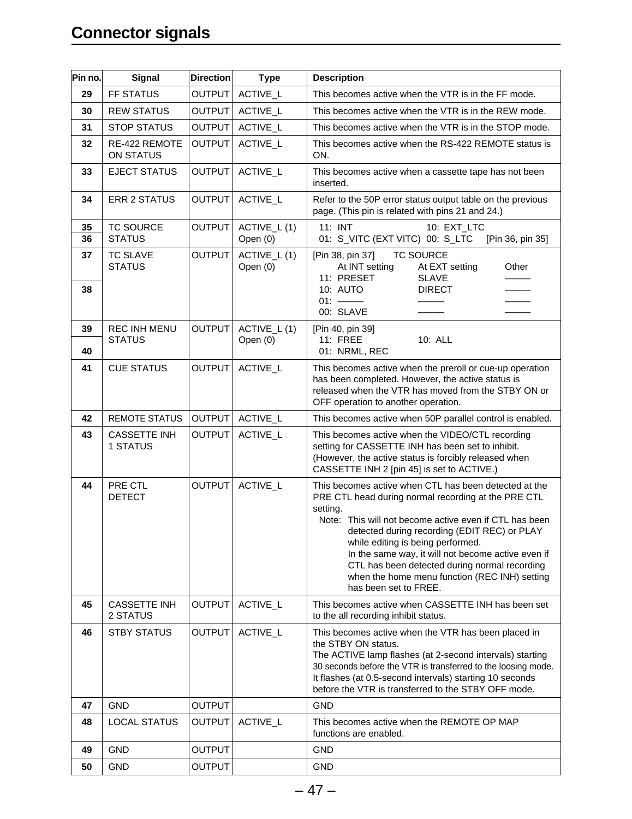| Pin no.  | <b>Signal</b>                        | <b>Direction</b> | <b>Type</b>             | <b>Description</b>                                                                                                                                                                                                                                                                                                                                                                                                                                       |  |
|----------|--------------------------------------|------------------|-------------------------|----------------------------------------------------------------------------------------------------------------------------------------------------------------------------------------------------------------------------------------------------------------------------------------------------------------------------------------------------------------------------------------------------------------------------------------------------------|--|
| 29       | FF STATUS                            | <b>OUTPUT</b>    | ACTIVE_L                | This becomes active when the VTR is in the FF mode.                                                                                                                                                                                                                                                                                                                                                                                                      |  |
| 30       | <b>REW STATUS</b>                    | <b>OUTPUT</b>    | ACTIVE_L                | This becomes active when the VTR is in the REW mode.                                                                                                                                                                                                                                                                                                                                                                                                     |  |
| 31       | <b>STOP STATUS</b>                   | <b>OUTPUT</b>    | ACTIVE_L                | This becomes active when the VTR is in the STOP mode.                                                                                                                                                                                                                                                                                                                                                                                                    |  |
| 32       | RE-422 REMOTE<br><b>ON STATUS</b>    | OUTPUT           | ACTIVE_L                | This becomes active when the RS-422 REMOTE status is<br>ON.                                                                                                                                                                                                                                                                                                                                                                                              |  |
| 33       | <b>EJECT STATUS</b>                  | <b>OUTPUT</b>    | ACTIVE_L                | This becomes active when a cassette tape has not been<br>inserted.                                                                                                                                                                                                                                                                                                                                                                                       |  |
| 34       | <b>ERR 2 STATUS</b>                  | <b>OUTPUT</b>    | ACTIVE_L                | Refer to the 50P error status output table on the previous<br>page. (This pin is related with pins 21 and 24.)                                                                                                                                                                                                                                                                                                                                           |  |
| 35<br>36 | <b>TC SOURCE</b><br><b>STATUS</b>    | <b>OUTPUT</b>    | ACTIVE_L(1)<br>Open (0) | 11: INT<br>10: EXT_LTC<br>01: S_VITC (EXT VITC) 00: S_LTC<br>[Pin 36, pin 35]                                                                                                                                                                                                                                                                                                                                                                            |  |
| 37<br>38 | <b>TC SLAVE</b><br><b>STATUS</b>     | OUTPUT           | ACTIVE_L(1)<br>Open (0) | <b>TC SOURCE</b><br>[Pin 38, pin 37]<br>At INT setting<br>At EXT setting<br>Other<br>11: PRESET<br><b>SLAVE</b><br>10: AUTO<br><b>DIRECT</b><br>$01: \ \_\_$<br>00: SLAVE                                                                                                                                                                                                                                                                                |  |
| 39<br>40 | <b>REC INH MENU</b><br><b>STATUS</b> | <b>OUTPUT</b>    | ACTIVE_L(1)<br>Open (0) | [Pin 40, pin 39]<br><b>11: FREE</b><br>10: ALL<br>01: NRML, REC                                                                                                                                                                                                                                                                                                                                                                                          |  |
| 41       | <b>CUE STATUS</b>                    | <b>OUTPUT</b>    | ACTIVE_L                | This becomes active when the preroll or cue-up operation<br>has been completed. However, the active status is<br>released when the VTR has moved from the STBY ON or<br>OFF operation to another operation.                                                                                                                                                                                                                                              |  |
| 42       | <b>REMOTE STATUS</b>                 | <b>OUTPUT</b>    | ACTIVE_L                | This becomes active when 50P parallel control is enabled.                                                                                                                                                                                                                                                                                                                                                                                                |  |
| 43       | <b>CASSETTE INH</b><br>1 STATUS      | <b>OUTPUT</b>    | ACTIVE_L                | This becomes active when the VIDEO/CTL recording<br>setting for CASSETTE INH has been set to inhibit.<br>(However, the active status is forcibly released when<br>CASSETTE INH 2 [pin 45] is set to ACTIVE.)                                                                                                                                                                                                                                             |  |
| 44       | PRE CTL<br><b>DETECT</b>             | <b>OUTPUT</b>    | ACTIVE L                | This becomes active when CTL has been detected at the<br>PRE CTL head during normal recording at the PRE CTL<br>setting.<br>Note: This will not become active even if CTL has been<br>detected during recording (EDIT REC) or PLAY<br>while editing is being performed.<br>In the same way, it will not become active even if<br>CTL has been detected during normal recording<br>when the home menu function (REC INH) setting<br>has been set to FREE. |  |
| 45       | <b>CASSETTE INH</b><br>2 STATUS      | <b>OUTPUT</b>    | ACTIVE_L                | This becomes active when CASSETTE INH has been set<br>to the all recording inhibit status.                                                                                                                                                                                                                                                                                                                                                               |  |
| 46       | <b>STBY STATUS</b>                   | <b>OUTPUT</b>    | ACTIVE_L                | This becomes active when the VTR has been placed in<br>the STBY ON status.<br>The ACTIVE lamp flashes (at 2-second intervals) starting<br>30 seconds before the VTR is transferred to the loosing mode.<br>It flashes (at 0.5-second intervals) starting 10 seconds<br>before the VTR is transferred to the STBY OFF mode.                                                                                                                               |  |
| 47       | <b>GND</b>                           | OUTPUT           |                         | <b>GND</b>                                                                                                                                                                                                                                                                                                                                                                                                                                               |  |
| 48       | <b>LOCAL STATUS</b>                  | <b>OUTPUT</b>    | ACTIVE_L                | This becomes active when the REMOTE OP MAP<br>functions are enabled.                                                                                                                                                                                                                                                                                                                                                                                     |  |
| 49       | <b>GND</b>                           | <b>OUTPUT</b>    |                         | <b>GND</b>                                                                                                                                                                                                                                                                                                                                                                                                                                               |  |
| 50       | <b>GND</b>                           | <b>OUTPUT</b>    |                         | <b>GND</b>                                                                                                                                                                                                                                                                                                                                                                                                                                               |  |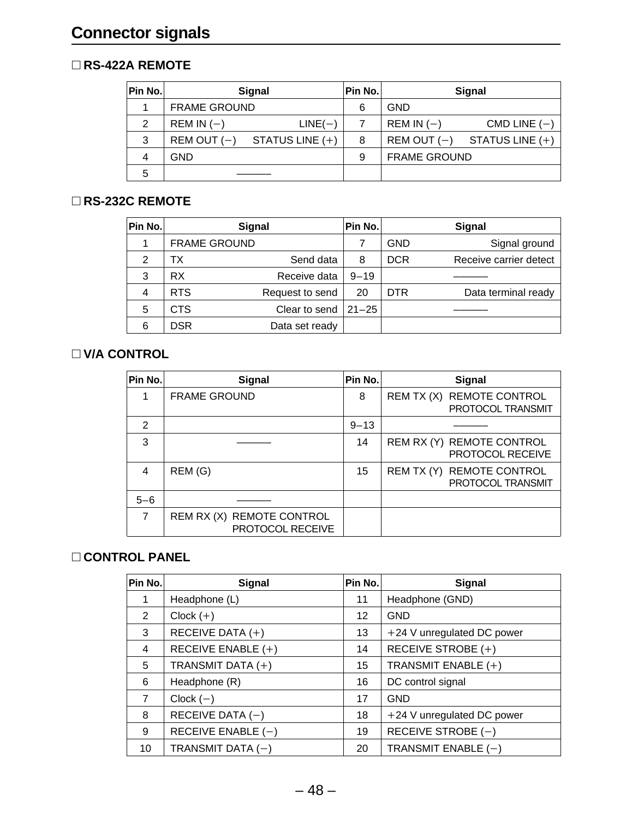## ∑ **RS-422A REMOTE**

| Pin No. | <b>Signal</b>                      | Pin No. | <b>Signal</b>                      |
|---------|------------------------------------|---------|------------------------------------|
|         | <b>FRAME GROUND</b>                | 6       | <b>GND</b>                         |
| 2       | REM IN $(-)$<br>$LINE(-)$          |         | REM IN $(-)$<br>CMD LINE $(-)$     |
| 3       | STATUS LINE $(+)$<br>REM OUT $(-)$ | 8       | $REM OUT (-)$<br>STATUS LINE $(+)$ |
| 4       | <b>GND</b>                         | 9       | <b>FRAME GROUND</b>                |
| 5       |                                    |         |                                    |

## ∑ **RS-232C REMOTE**

| Pin No. | <b>Signal</b>       |                 | Pin No.   |            | Signal                 |
|---------|---------------------|-----------------|-----------|------------|------------------------|
|         | <b>FRAME GROUND</b> |                 |           | <b>GND</b> | Signal ground          |
| 2       | ТX                  | Send data       | 8         | <b>DCR</b> | Receive carrier detect |
| 3       | <b>RX</b>           | Receive data    | $9 - 19$  |            |                        |
| 4       | <b>RTS</b>          | Request to send | 20        | <b>DTR</b> | Data terminal ready    |
| 5       | <b>CTS</b>          | Clear to send   | $21 - 25$ |            |                        |
| 6       | <b>DSR</b>          | Data set ready  |           |            |                        |

## ∑ **V/A CONTROL**

| Pin No. | <b>Signal</b>                                 | Pin No.  | <b>Signal</b>                                  |
|---------|-----------------------------------------------|----------|------------------------------------------------|
|         | FRAME GROUND                                  | 8        | REM TX (X) REMOTE CONTROL<br>PROTOCOL TRANSMIT |
| 2       |                                               | $9 - 13$ |                                                |
| 3       |                                               | 14       | REM RX (Y) REMOTE CONTROL<br>PROTOCOL RECEIVE  |
| 4       | REM(G)                                        | 15       | REM TX (Y) REMOTE CONTROL<br>PROTOCOL TRANSMIT |
| $5 - 6$ |                                               |          |                                                |
| 7       | REM RX (X) REMOTE CONTROL<br>PROTOCOL RECEIVE |          |                                                |

## ∑ **CONTROL PANEL**

| Pin No.        | <b>Signal</b>        | Pin No. | <b>Signal</b>              |
|----------------|----------------------|---------|----------------------------|
| 1              | Headphone (L)        | 11      | Headphone (GND)            |
| $\overline{2}$ | $Clock (+)$          | 12      | <b>GND</b>                 |
| 3              | RECEIVE DATA $(+)$   | 13      | +24 V unregulated DC power |
| 4              | RECEIVE ENABLE (+)   | 14      | RECEIVE STROBE (+)         |
| 5              | TRANSMIT DATA (+)    | 15      | TRANSMIT ENABLE (+)        |
| 6              | Headphone (R)        | 16      | DC control signal          |
| $\overline{7}$ | $Clock (-)$          | 17      | <b>GND</b>                 |
| 8              | RECEIVE DATA $(-)$   | 18      | +24 V unregulated DC power |
| 9              | RECEIVE ENABLE $(-)$ | 19      | RECEIVE STROBE $(-)$       |
| 10             | TRANSMIT DATA $(-)$  | 20      | TRANSMIT ENABLE $(-)$      |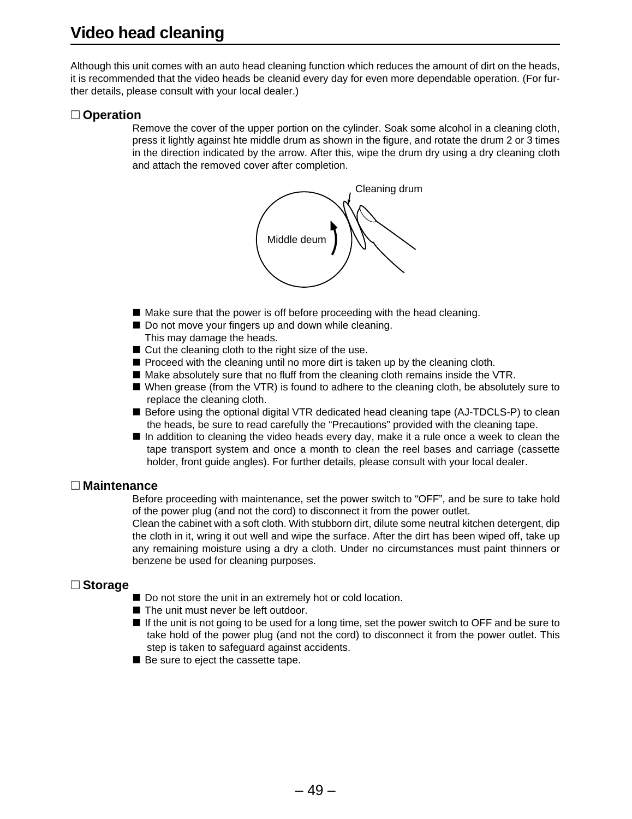# **Video head cleaning**

Although this unit comes with an auto head cleaning function which reduces the amount of dirt on the heads, it is recommended that the video heads be cleanid every day for even more dependable operation. (For further details, please consult with your local dealer.)

### ∑ **Operation**

Remove the cover of the upper portion on the cylinder. Soak some alcohol in a cleaning cloth, press it lightly against hte middle drum as shown in the figure, and rotate the drum 2 or 3 times in the direction indicated by the arrow. After this, wipe the drum dry using a dry cleaning cloth and attach the removed cover after completion.



- Make sure that the power is off before proceeding with the head cleaning.
- Do not move your fingers up and down while cleaning. This may damage the heads.
- Cut the cleaning cloth to the right size of the use.
- Proceed with the cleaning until no more dirt is taken up by the cleaning cloth.
- Make absolutely sure that no fluff from the cleaning cloth remains inside the VTR.
- When grease (from the VTR) is found to adhere to the cleaning cloth, be absolutely sure to replace the cleaning cloth.
- Before using the optional digital VTR dedicated head cleaning tape (AJ-TDCLS-P) to clean the heads, be sure to read carefully the "Precautions" provided with the cleaning tape.
- In addition to cleaning the video heads every day, make it a rule once a week to clean the tape transport system and once a month to clean the reel bases and carriage (cassette holder, front guide angles). For further details, please consult with your local dealer.

## ∑ **Maintenance**

Before proceeding with maintenance, set the power switch to "OFF", and be sure to take hold of the power plug (and not the cord) to disconnect it from the power outlet.

Clean the cabinet with a soft cloth. With stubborn dirt, dilute some neutral kitchen detergent, dip the cloth in it, wring it out well and wipe the surface. After the dirt has been wiped off, take up any remaining moisture using a dry a cloth. Under no circumstances must paint thinners or benzene be used for cleaning purposes.

## ∑ **Storage**

- Do not store the unit in an extremely hot or cold location.
- The unit must never be left outdoor.
- If the unit is not going to be used for a long time, set the power switch to OFF and be sure to take hold of the power plug (and not the cord) to disconnect it from the power outlet. This step is taken to safeguard against accidents.
- Be sure to eject the cassette tape.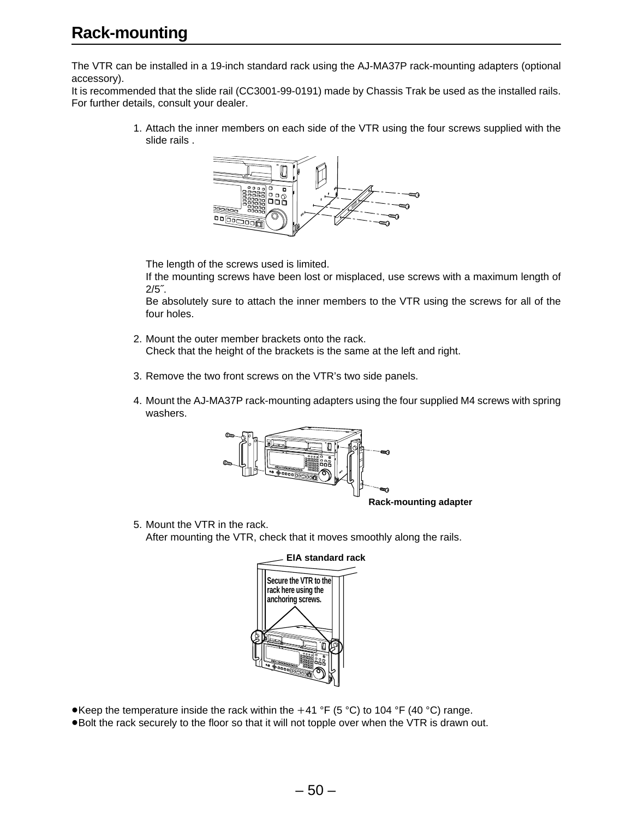# **Rack-mounting**

The VTR can be installed in a 19-inch standard rack using the AJ-MA37P rack-mounting adapters (optional accessory).

It is recommended that the slide rail (CC3001-99-0191) made by Chassis Trak be used as the installed rails. For further details, consult your dealer.

> 1. Attach the inner members on each side of the VTR using the four screws supplied with the slide rails .



The length of the screws used is limited.

If the mounting screws have been lost or misplaced, use screws with a maximum length of 2/5˝.

Be absolutely sure to attach the inner members to the VTR using the screws for all of the four holes.

- 2. Mount the outer member brackets onto the rack. Check that the height of the brackets is the same at the left and right.
- 3. Remove the two front screws on the VTR's two side panels.
- 4. Mount the AJ-MA37P rack-mounting adapters using the four supplied M4 screws with spring washers.



5. Mount the VTR in the rack. After mounting the VTR, check that it moves smoothly along the rails.



- $\blacktriangleright$ Keep the temperature inside the rack within the +41 °F (5 °C) to 104 °F (40 °C) range.
- ≥Bolt the rack securely to the floor so that it will not topple over when the VTR is drawn out.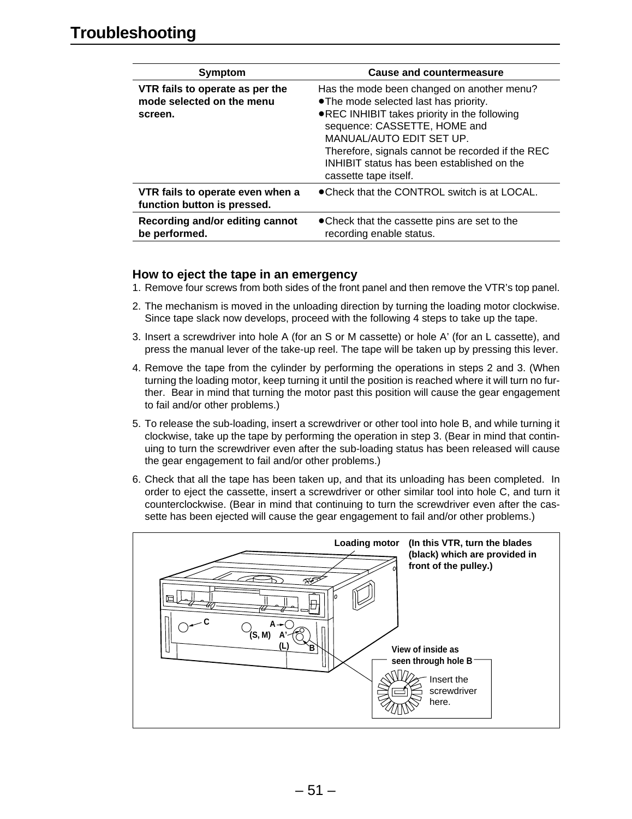| Symptom                                                                 | Cause and countermeasure                                                                                                                                                                                                                                                                                                            |
|-------------------------------------------------------------------------|-------------------------------------------------------------------------------------------------------------------------------------------------------------------------------------------------------------------------------------------------------------------------------------------------------------------------------------|
| VTR fails to operate as per the<br>mode selected on the menu<br>screen. | Has the mode been changed on another menu?<br>• The mode selected last has priority.<br>. REC INHIBIT takes priority in the following<br>sequence: CASSETTE, HOME and<br>MANUAL/AUTO EDIT SET UP.<br>Therefore, signals cannot be recorded if the REC<br><b>INHIBIT</b> status has been established on the<br>cassette tape itself. |
| VTR fails to operate even when a<br>function button is pressed.         | • Check that the CONTROL switch is at LOCAL.                                                                                                                                                                                                                                                                                        |
| Recording and/or editing cannot<br>be performed.                        | • Check that the cassette pins are set to the<br>recording enable status.                                                                                                                                                                                                                                                           |

## **How to eject the tape in an emergency**

- 1. Remove four screws from both sides of the front panel and then remove the VTR's top panel.
- 2. The mechanism is moved in the unloading direction by turning the loading motor clockwise. Since tape slack now develops, proceed with the following 4 steps to take up the tape.
- 3. Insert a screwdriver into hole A (for an S or M cassette) or hole A' (for an L cassette), and press the manual lever of the take-up reel. The tape will be taken up by pressing this lever.
- 4. Remove the tape from the cylinder by performing the operations in steps 2 and 3. (When turning the loading motor, keep turning it until the position is reached where it will turn no further. Bear in mind that turning the motor past this position will cause the gear engagement to fail and/or other problems.)
- 5. To release the sub-loading, insert a screwdriver or other tool into hole B, and while turning it clockwise, take up the tape by performing the operation in step 3. (Bear in mind that continuing to turn the screwdriver even after the sub-loading status has been released will cause the gear engagement to fail and/or other problems.)
- 6. Check that all the tape has been taken up, and that its unloading has been completed. In order to eject the cassette, insert a screwdriver or other similar tool into hole C, and turn it counterclockwise. (Bear in mind that continuing to turn the screwdriver even after the cassette has been ejected will cause the gear engagement to fail and/or other problems.)

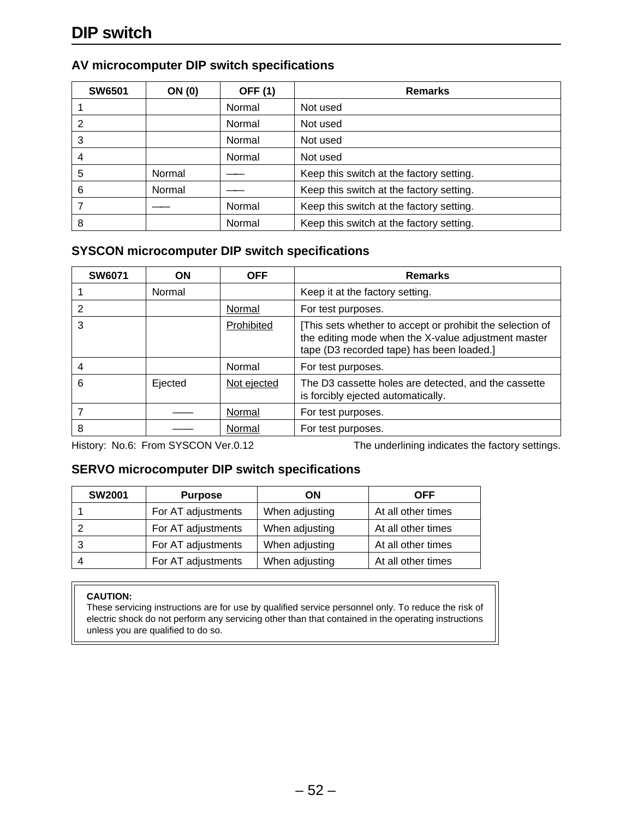## **AV microcomputer DIP switch specifications**

| <b>SW6501</b> | <b>ON (0)</b> | <b>OFF (1)</b> | <b>Remarks</b>                           |
|---------------|---------------|----------------|------------------------------------------|
|               |               | Normal         | Not used                                 |
| 2             |               | Normal         | Not used                                 |
| 3             |               | Normal         | Not used                                 |
| 4             |               | Normal         | Not used                                 |
| 5             | Normal        |                | Keep this switch at the factory setting. |
| 6             | Normal        |                | Keep this switch at the factory setting. |
|               |               | Normal         | Keep this switch at the factory setting. |
| 8             |               | Normal         | Keep this switch at the factory setting. |

## **SYSCON microcomputer DIP switch specifications**

| <b>SW6071</b> | <b>ON</b> | <b>OFF</b>  | <b>Remarks</b>                                                                                                                                                |
|---------------|-----------|-------------|---------------------------------------------------------------------------------------------------------------------------------------------------------------|
|               | Normal    |             | Keep it at the factory setting.                                                                                                                               |
| 2             |           | Normal      | For test purposes.                                                                                                                                            |
| 3             |           | Prohibited  | [This sets whether to accept or prohibit the selection of<br>the editing mode when the X-value adjustment master<br>tape (D3 recorded tape) has been loaded.] |
|               |           | Normal      | For test purposes.                                                                                                                                            |
| 6             | Ejected   | Not ejected | The D3 cassette holes are detected, and the cassette<br>is forcibly ejected automatically.                                                                    |
|               |           | Normal      | For test purposes.                                                                                                                                            |
| 8             |           | Normal      | For test purposes.                                                                                                                                            |

History: No.6: From SYSCON Ver.0.12 The underlining indicates the factory settings.

## **SERVO microcomputer DIP switch specifications**

| <b>SW2001</b> | <b>Purpose</b>     | ΟN             | <b>OFF</b>         |
|---------------|--------------------|----------------|--------------------|
|               | For AT adjustments | When adjusting | At all other times |
|               | For AT adjustments | When adjusting | At all other times |
| 3             | For AT adjustments | When adjusting | At all other times |
|               | For AT adjustments | When adjusting | At all other times |

#### **CAUTION:**

These servicing instructions are for use by qualified service personnel only. To reduce the risk of electric shock do not perform any servicing other than that contained in the operating instructions unless you are qualified to do so.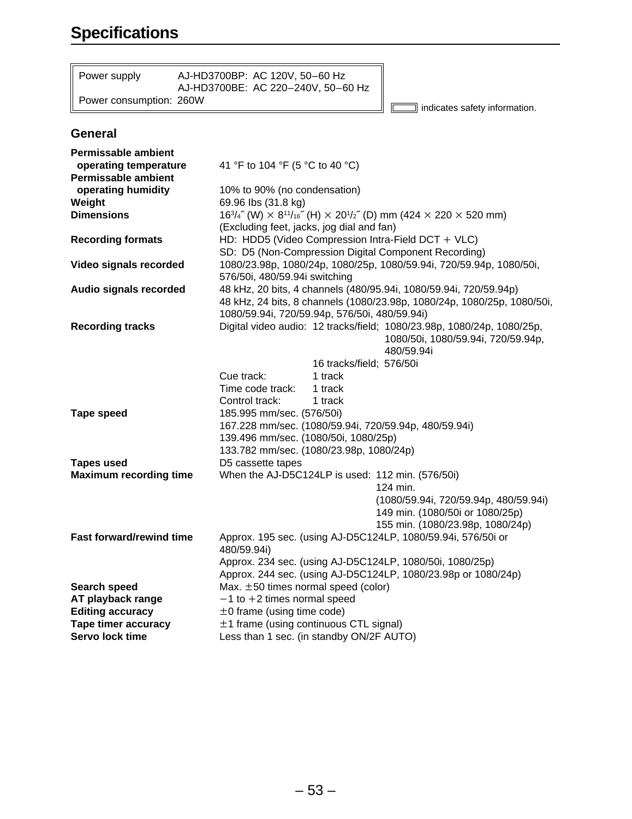# **Specifications**

| Power supply                                                        | AJ-HD3700BP: AC 120V, 50-60 Hz<br>AJ-HD3700BE: AC 220-240V, 50-60 Hz                                                                 |
|---------------------------------------------------------------------|--------------------------------------------------------------------------------------------------------------------------------------|
| Power consumption: 260W                                             | indicates safety information.                                                                                                        |
| <b>General</b>                                                      |                                                                                                                                      |
|                                                                     |                                                                                                                                      |
| Permissable ambient<br>operating temperature<br>Permissable ambient | 41 °F to 104 °F (5 °C to 40 °C)                                                                                                      |
| operating humidity                                                  | 10% to 90% (no condensation)                                                                                                         |
| Weight                                                              | 69.96 lbs (31.8 kg)                                                                                                                  |
| <b>Dimensions</b>                                                   | $16^{3/4}$ (W) $\times$ 8 <sup>11</sup> /16" (H) $\times$ 20 <sup>1</sup> / <sub>2</sub> " (D) mm (424 $\times$ 220 $\times$ 520 mm) |
|                                                                     | (Excluding feet, jacks, jog dial and fan)                                                                                            |
| <b>Recording formats</b>                                            | HD: HDD5 (Video Compression Intra-Field DCT $+$ VLC)                                                                                 |
|                                                                     | SD: D5 (Non-Compression Digital Component Recording)                                                                                 |
| Video signals recorded                                              | 1080/23.98p, 1080/24p, 1080/25p, 1080/59.94i, 720/59.94p, 1080/50i,                                                                  |
|                                                                     | 576/50i, 480/59.94i switching                                                                                                        |
| Audio signals recorded                                              | 48 kHz, 20 bits, 4 channels (480/95.94i, 1080/59.94i, 720/59.94p)                                                                    |
|                                                                     | 48 kHz, 24 bits, 8 channels (1080/23.98p, 1080/24p, 1080/25p, 1080/50i,                                                              |
|                                                                     | 1080/59.94i, 720/59.94p, 576/50i, 480/59.94i)                                                                                        |
| <b>Recording tracks</b>                                             | Digital video audio: 12 tracks/field; 1080/23.98p, 1080/24p, 1080/25p,                                                               |
|                                                                     | 1080/50i, 1080/59.94i, 720/59.94p,                                                                                                   |
|                                                                     | 480/59.94i                                                                                                                           |
|                                                                     | 16 tracks/field; 576/50i                                                                                                             |
|                                                                     | Cue track:<br>1 track                                                                                                                |
|                                                                     | Time code track:<br>1 track                                                                                                          |
|                                                                     | Control track:<br>1 track                                                                                                            |
| <b>Tape speed</b>                                                   | 185.995 mm/sec. (576/50i)                                                                                                            |
|                                                                     | 167.228 mm/sec. (1080/59.94i, 720/59.94p, 480/59.94i)                                                                                |
|                                                                     | 139.496 mm/sec. (1080/50i, 1080/25p)                                                                                                 |
|                                                                     | 133.782 mm/sec. (1080/23.98p, 1080/24p)                                                                                              |
| <b>Tapes used</b>                                                   | D5 cassette tapes                                                                                                                    |
| <b>Maximum recording time</b>                                       | When the AJ-D5C124LP is used: 112 min. (576/50i)                                                                                     |
|                                                                     | 124 min.                                                                                                                             |
|                                                                     | (1080/59.94i, 720/59.94p, 480/59.94i)                                                                                                |
|                                                                     | 149 min. (1080/50i or 1080/25p)                                                                                                      |
|                                                                     | 155 min. (1080/23.98p, 1080/24p)                                                                                                     |
| <b>Fast forward/rewind time</b>                                     | Approx. 195 sec. (using AJ-D5C124LP, 1080/59.94i, 576/50i or<br>480/59.94i)                                                          |
|                                                                     | Approx. 234 sec. (using AJ-D5C124LP, 1080/50i, 1080/25p)                                                                             |
|                                                                     | Approx. 244 sec. (using AJ-D5C124LP, 1080/23.98p or 1080/24p)                                                                        |
| Search speed                                                        | Max. $\pm 50$ times normal speed (color)                                                                                             |
| AT playback range                                                   | $-1$ to $+2$ times normal speed                                                                                                      |
| <b>Editing accuracy</b>                                             | $\pm$ 0 frame (using time code)                                                                                                      |
| <b>Tape timer accuracy</b>                                          | $\pm$ 1 frame (using continuous CTL signal)                                                                                          |
| Servo lock time                                                     | Less than 1 sec. (in standby ON/2F AUTO)                                                                                             |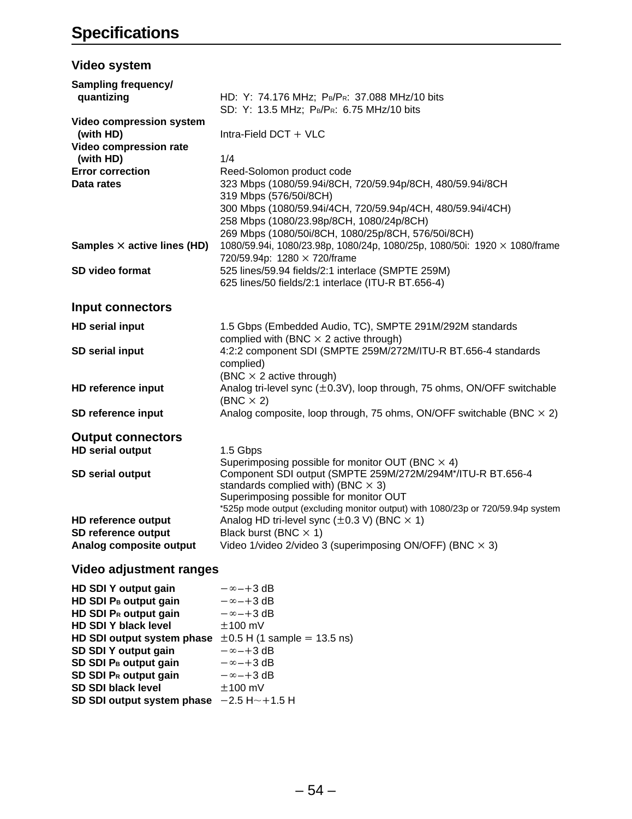# **Specifications**

# **Video system**

| <b>Sampling frequency/</b><br>quantizing                                     | HD: Y: 74.176 MHz; PB/PR: 37.088 MHz/10 bits<br>SD: Y: 13.5 MHz; PB/PR: 6.75 MHz/10 bits                                                                                                                                                                                         |
|------------------------------------------------------------------------------|----------------------------------------------------------------------------------------------------------------------------------------------------------------------------------------------------------------------------------------------------------------------------------|
| <b>Video compression system</b><br>(with HD)<br>Video compression rate       | Intra-Field $DCT + VLC$                                                                                                                                                                                                                                                          |
| (with HD)                                                                    | 1/4                                                                                                                                                                                                                                                                              |
| <b>Error correction</b><br>Data rates                                        | Reed-Solomon product code<br>323 Mbps (1080/59.94i/8CH, 720/59.94p/8CH, 480/59.94i/8CH<br>319 Mbps (576/50i/8CH)<br>300 Mbps (1080/59.94i/4CH, 720/59.94p/4CH, 480/59.94i/4CH)<br>258 Mbps (1080/23.98p/8CH, 1080/24p/8CH)<br>269 Mbps (1080/50i/8CH, 1080/25p/8CH, 576/50i/8CH) |
| Samples $\times$ active lines (HD)                                           | 1080/59.94i, 1080/23.98p, 1080/24p, 1080/25p, 1080/50i: 1920 × 1080/frame<br>720/59.94p: 1280 × 720/frame                                                                                                                                                                        |
| SD video format                                                              | 525 lines/59.94 fields/2:1 interlace (SMPTE 259M)<br>625 lines/50 fields/2:1 interlace (ITU-R BT.656-4)                                                                                                                                                                          |
| <b>Input connectors</b>                                                      |                                                                                                                                                                                                                                                                                  |
| <b>HD</b> serial input                                                       | 1.5 Gbps (Embedded Audio, TC), SMPTE 291M/292M standards<br>complied with (BNC $\times$ 2 active through)                                                                                                                                                                        |
| SD serial input                                                              | 4:2:2 component SDI (SMPTE 259M/272M/ITU-R BT.656-4 standards<br>complied)<br>(BNC $\times$ 2 active through)                                                                                                                                                                    |
| <b>HD reference input</b>                                                    | Analog tri-level sync (±0.3V), loop through, 75 ohms, ON/OFF switchable<br>$(BNC \times 2)$                                                                                                                                                                                      |
| SD reference input                                                           | Analog composite, loop through, 75 ohms, ON/OFF switchable (BNC $\times$ 2)                                                                                                                                                                                                      |
| <b>Output connectors</b><br><b>HD serial output</b>                          | 1.5 Gbps<br>Superimposing possible for monitor OUT (BNC $\times$ 4)                                                                                                                                                                                                              |
| SD serial output                                                             | Component SDI output (SMPTE 259M/272M/294M*/ITU-R BT.656-4<br>standards complied with) (BNC $\times$ 3)<br>Superimposing possible for monitor OUT<br>*525p mode output (excluding monitor output) with 1080/23p or 720/59.94p system                                             |
| <b>HD reference output</b><br>SD reference output<br>Analog composite output | Analog HD tri-level sync $(\pm 0.3 \text{ V})$ (BNC $\times$ 1)<br>Black burst (BNC $\times$ 1)<br>Video 1/video 2/video 3 (superimposing ON/OFF) (BNC $\times$ 3)                                                                                                               |

# **Video adjustment ranges**

| $-\infty$ -+3 dB                              |
|-----------------------------------------------|
| $-\infty - +3$ dB                             |
| $-\infty - +3$ dB                             |
| $±100$ mV                                     |
| $\pm 0.5$ H (1 sample = 13.5 ns)              |
| $-\infty - +3$ dB                             |
| $-\infty - +3$ dB                             |
| $-\infty$ -+3 dB                              |
| $±100$ mV                                     |
| SD SDI output system phase<br>$-2.5 H~+1.5 H$ |
|                                               |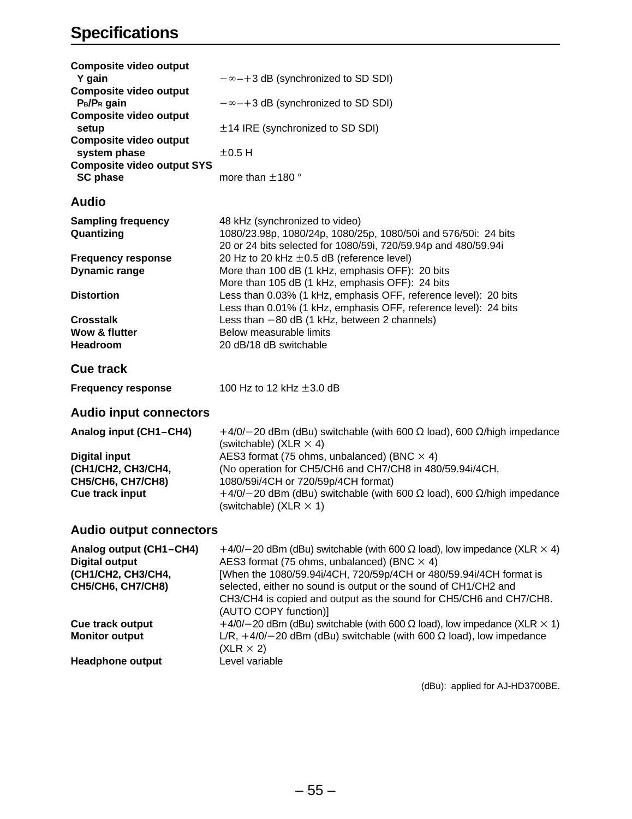# **Specifications**

| <b>Composite video output</b><br>Y gain                                                     | $-\infty$ -+3 dB (synchronized to SD SDI)                                                                                                                                                                                                                                                                                                                                               |  |  |  |
|---------------------------------------------------------------------------------------------|-----------------------------------------------------------------------------------------------------------------------------------------------------------------------------------------------------------------------------------------------------------------------------------------------------------------------------------------------------------------------------------------|--|--|--|
| <b>Composite video output</b><br>PB/PR gain                                                 | $-\infty$ -+3 dB (synchronized to SD SDI)                                                                                                                                                                                                                                                                                                                                               |  |  |  |
| <b>Composite video output</b><br>setup                                                      | $\pm$ 14 IRE (synchronized to SD SDI)                                                                                                                                                                                                                                                                                                                                                   |  |  |  |
| <b>Composite video output</b><br>system phase                                               | $\pm$ 0.5 H                                                                                                                                                                                                                                                                                                                                                                             |  |  |  |
| <b>Composite video output SYS</b><br><b>SC phase</b>                                        | more than $\pm$ 180 $^{\circ}$                                                                                                                                                                                                                                                                                                                                                          |  |  |  |
| <b>Audio</b>                                                                                |                                                                                                                                                                                                                                                                                                                                                                                         |  |  |  |
| <b>Sampling frequency</b><br>Quantizing                                                     | 48 kHz (synchronized to video)<br>1080/23.98p, 1080/24p, 1080/25p, 1080/50i and 576/50i: 24 bits<br>20 or 24 bits selected for 1080/59i, 720/59.94p and 480/59.94i                                                                                                                                                                                                                      |  |  |  |
| <b>Frequency response</b><br><b>Dynamic range</b>                                           | 20 Hz to 20 kHz ±0.5 dB (reference level)<br>More than 100 dB (1 kHz, emphasis OFF): 20 bits                                                                                                                                                                                                                                                                                            |  |  |  |
| <b>Distortion</b>                                                                           | More than 105 dB (1 kHz, emphasis OFF): 24 bits<br>Less than 0.03% (1 kHz, emphasis OFF, reference level): 20 bits<br>Less than 0.01% (1 kHz, emphasis OFF, reference level): 24 bits                                                                                                                                                                                                   |  |  |  |
| <b>Crosstalk</b><br>Wow & flutter<br>Headroom                                               | Less than $-80$ dB (1 kHz, between 2 channels)<br>Below measurable limits<br>20 dB/18 dB switchable                                                                                                                                                                                                                                                                                     |  |  |  |
| <b>Cue track</b>                                                                            |                                                                                                                                                                                                                                                                                                                                                                                         |  |  |  |
| <b>Frequency response</b>                                                                   | 100 Hz to 12 kHz $\pm$ 3.0 dB                                                                                                                                                                                                                                                                                                                                                           |  |  |  |
| <b>Audio input connectors</b>                                                               |                                                                                                                                                                                                                                                                                                                                                                                         |  |  |  |
| Analog input (CH1-CH4)                                                                      | $+4/0$ /-20 dBm (dBu) switchable (with 600 $\Omega$ load), 600 $\Omega$ /high impedance<br>(switchable) (XLR $\times$ 4)                                                                                                                                                                                                                                                                |  |  |  |
| <b>Digital input</b><br>(CH1/CH2, CH3/CH4,                                                  | AES3 format (75 ohms, unbalanced) (BNC $\times$ 4)<br>(No operation for CH5/CH6 and CH7/CH8 in 480/59.94i/4CH,                                                                                                                                                                                                                                                                          |  |  |  |
| СН5/СН6, СН7/СН8)                                                                           | 1080/59i/4CH or 720/59p/4CH format)                                                                                                                                                                                                                                                                                                                                                     |  |  |  |
| <b>Cue track input</b>                                                                      | $+4/0$ /-20 dBm (dBu) switchable (with 600 $\Omega$ load), 600 $\Omega$ /high impedance<br>(switchable) (XLR $\times$ 1)                                                                                                                                                                                                                                                                |  |  |  |
| <b>Audio output connectors</b>                                                              |                                                                                                                                                                                                                                                                                                                                                                                         |  |  |  |
| Analog output (CH1-CH4)<br><b>Digital output</b><br>(CH1/CH2, CH3/CH4,<br>CH5/CH6, CH7/CH8) | $+4/0$ /-20 dBm (dBu) switchable (with 600 $\Omega$ load), low impedance (XLR $\times$ 4)<br>AES3 format (75 ohms, unbalanced) (BNC $\times$ 4)<br>[When the 1080/59.94i/4CH, 720/59p/4CH or 480/59.94i/4CH format is<br>selected, either no sound is output or the sound of CH1/CH2 and<br>CH3/CH4 is copied and output as the sound for CH5/CH6 and CH7/CH8.<br>(AUTO COPY function)] |  |  |  |
| Cue track output                                                                            | $+4/0$ /-20 dBm (dBu) switchable (with 600 $\Omega$ load), low impedance (XLR $\times$ 1)                                                                                                                                                                                                                                                                                               |  |  |  |
| <b>Monitor output</b>                                                                       | L/R, $+4/0$ /-20 dBm (dBu) switchable (with 600 $\Omega$ load), low impedance<br>$(XLR \times 2)$                                                                                                                                                                                                                                                                                       |  |  |  |
| <b>Headphone output</b>                                                                     | Level variable                                                                                                                                                                                                                                                                                                                                                                          |  |  |  |

(dBu): applied for AJ-HD3700BE.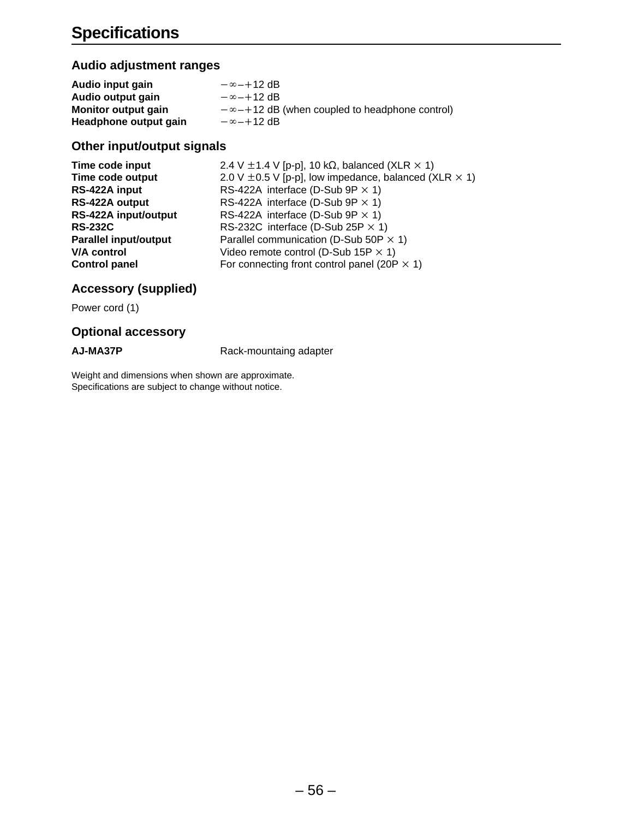## **Audio adjustment ranges**

| Audio input gain           | $-\infty$ $-$ + 12 dB                                 |
|----------------------------|-------------------------------------------------------|
| Audio output gain          | $-\infty$ $-$ + 12 dB                                 |
| <b>Monitor output gain</b> | $-\infty$ -+12 dB (when coupled to headphone control) |
| Headphone output gain      | $-\infty$ $-$ + 12 dB                                 |

## **Other input/output signals**

| Time code input              | 2.4 V $\pm$ 1.4 V [p-p], 10 k $\Omega$ , balanced (XLR $\times$ 1) |
|------------------------------|--------------------------------------------------------------------|
| Time code output             | 2.0 V $\pm$ 0.5 V [p-p], low impedance, balanced (XLR $\times$ 1)  |
| RS-422A input                | RS-422A interface (D-Sub 9P $\times$ 1)                            |
| RS-422A output               | RS-422A interface (D-Sub 9P $\times$ 1)                            |
| RS-422A input/output         | RS-422A interface (D-Sub 9P $\times$ 1)                            |
| <b>RS-232C</b>               | RS-232C interface (D-Sub 25P $\times$ 1)                           |
| <b>Parallel input/output</b> | Parallel communication (D-Sub 50P $\times$ 1)                      |
| <b>V/A control</b>           | Video remote control (D-Sub 15P $\times$ 1)                        |
| <b>Control panel</b>         | For connecting front control panel (20P $\times$ 1)                |
|                              |                                                                    |

## **Accessory (supplied)**

Power cord (1)

## **Optional accessory**

AJ-MA37P Rack-mountaing adapter

Weight and dimensions when shown are approximate. Specifications are subject to change without notice.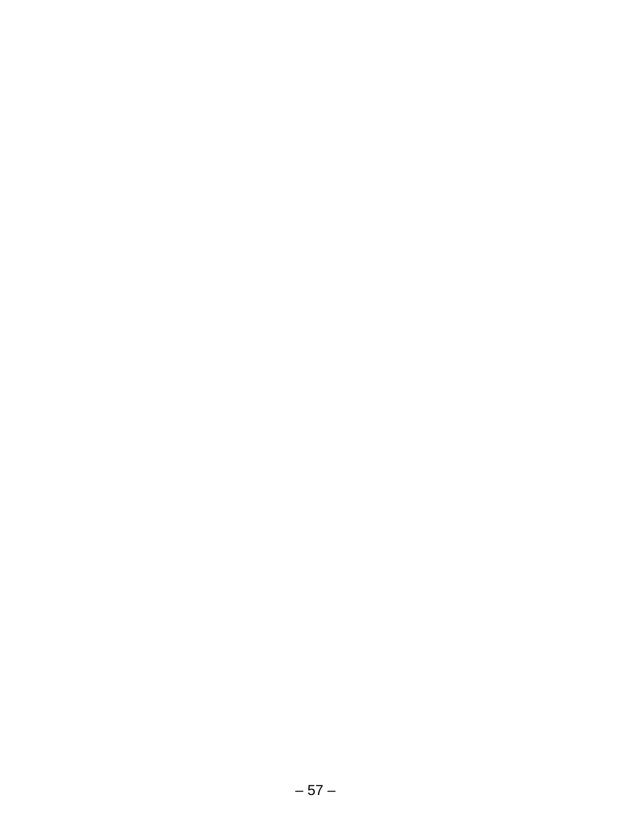– 57 –